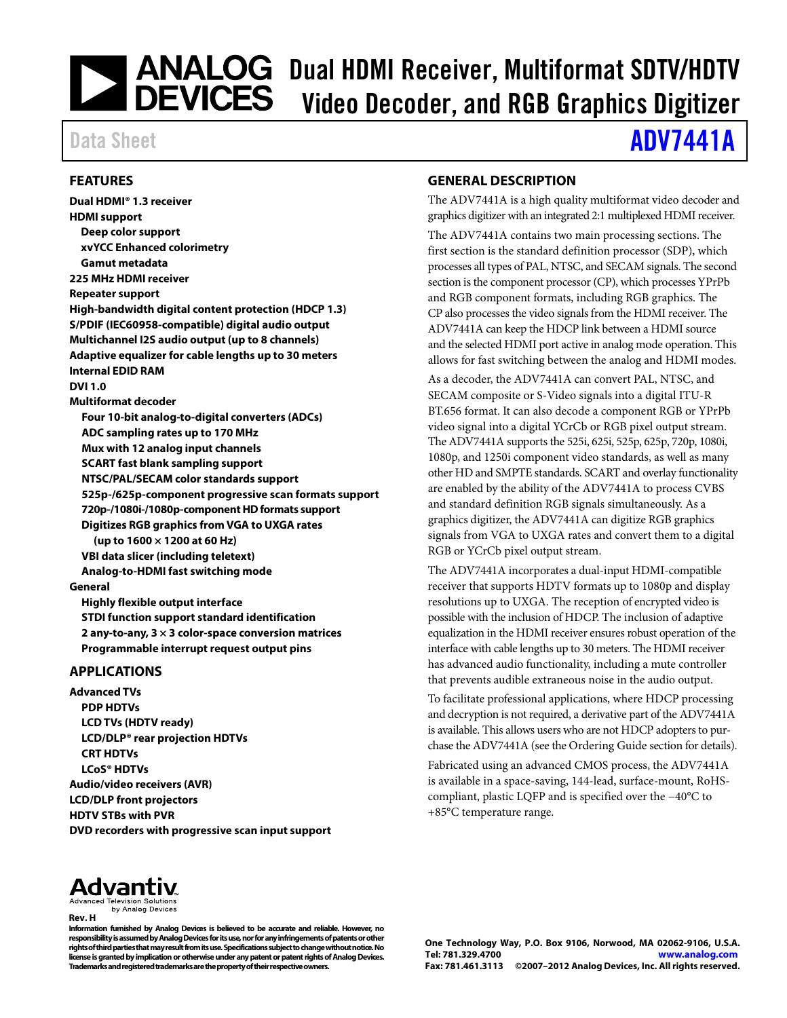# **DEVICES** Dual HDMI Receiver, Multiformat SDTV/HDTV<br>DEVICES Video Decoder, and RGB Granhics Digitizer Video Decoder, and RGB Graphics Digitizer

## Data Sheet **[ADV7441A](www.analog.com/ADV7441A)**

#### <span id="page-0-0"></span>**FEATURES**

**Dual HDMI® 1.3 receiver HDMI support Deep color support xvYCC Enhanced colorimetry Gamut metadata 225 MHz HDMI receiver Repeater support High-bandwidth digital content protection (HDCP 1.3) S/PDIF (IEC60958-compatible) digital audio output Multichannel I2S audio output (up to 8 channels) Adaptive equalizer for cable lengths up to 30 meters Internal EDID RAM DVI 1.0 Multiformat decoder Four 10-bit analog-to-digital converters (ADCs) ADC sampling rates up to 170 MHz Mux with 12 analog input channels SCART fast blank sampling support NTSC/PAL/SECAM color standards support 525p-/625p-component progressive scan formats support 720p-/1080i-/1080p-component HD formats support Digitizes RGB graphics from VGA to UXGA rates (up to 1600 × 1200 at 60 Hz) VBI data slicer (including teletext) Analog-to-HDMI fast switching mode General Highly flexible output interface STDI function support standard identification 2 any-to-any, 3 × 3 color-space conversion matrices Programmable interrupt request output pins**

#### <span id="page-0-1"></span>**APPLICATIONS**

**Advanced TVs PDP HDTVs LCD TVs (HDTV ready) LCD/DLP® rear projection HDTVs CRT HDTVs LCoS® HDTVs Audio/video receivers (AVR) LCD/DLP front projectors HDTV STBs with PVR DVD recorders with progressive scan input support**

#### <span id="page-0-2"></span>**GENERAL DESCRIPTION**

The ADV7441A is a high quality multiformat video decoder and graphics digitizer with an integrated 2:1 multiplexed HDMI receiver.

The ADV7441A contains two main processing sections. The first section is the standard definition processor (SDP), which processes all types of PAL, NTSC, and SECAM signals. The second section is the component processor (CP), which processes YPrPb and RGB component formats, including RGB graphics. The CP also processes the video signals from the HDMI receiver. The ADV7441A can keep the HDCP link between a HDMI source and the selected HDMI port active in analog mode operation. This allows for fast switching between the analog and HDMI modes.

As a decoder, the ADV7441A can convert PAL, NTSC, and SECAM composite or S-Video signals into a digital ITU-R BT.656 format. It can also decode a component RGB or YPrPb video signal into a digital YCrCb or RGB pixel output stream. The ADV7441A supports the 525i, 625i, 525p, 625p, 720p, 1080i, 1080p, and 1250i component video standards, as well as many other HD and SMPTE standards. SCART and overlay functionality are enabled by the ability of the ADV7441A to process CVBS and standard definition RGB signals simultaneously. As a graphics digitizer, the ADV7441A can digitize RGB graphics signals from VGA to UXGA rates and convert them to a digital RGB or YCrCb pixel output stream.

The ADV7441A incorporates a dual-input HDMI-compatible receiver that supports HDTV formats up to 1080p and display resolutions up to UXGA. The reception of encrypted video is possible with the inclusion of HDCP. The inclusion of adaptive equalization in the HDMI receiver ensures robust operation of the interface with cable lengths up to 30 meters. The HDMI receiver has advanced audio functionality, including a mute controller that prevents audible extraneous noise in the audio output.

To facilitate professional applications, where HDCP processing and decryption is not required, a derivative part of the ADV7441A is available. This allows users who are not HDCP adopters to purchase the ADV7441A (see the [Ordering Guide](#page-24-0) section for details).

Fabricated using an advanced CMOS process, the ADV7441A is available in a space-saving, 144-lead, surface-mount, RoHScompliant, plastic LQFP and is specified over the −40°C to +85°C temperature range.



by Analog Devices **Rev. H**

**Information furnished by Analog Devices is believed to be accurate and reliable. However, no responsibility is assumed by Analog Devices for its use, nor for any infringements of patents or other rights of third parties that may result from its use. Specifications subject to change without notice. No license is granted by implication or otherwise under any patent or patent rights of Analog Devices. Trademarks and registered trademarks are the property of their respective owners.**

**One Technology Way, P.O. Box 9106, Norwood, MA 02062-9106, U.S.A. Tel: 781.329.4700 [www.analog.com](http://www.analog.com/) Fax: 781.461.3113 ©2007–2012 Analog Devices, Inc. All rights reserved.**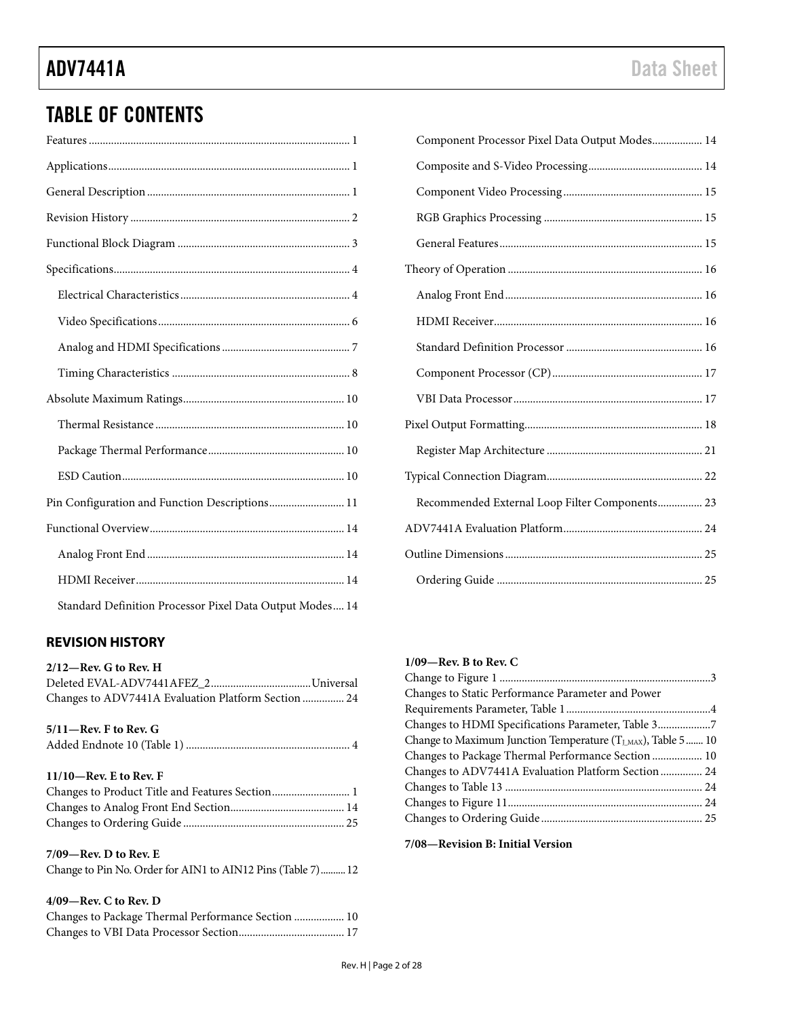### TABLE OF CONTENTS

| Pin Configuration and Function Descriptions 11           |
|----------------------------------------------------------|
|                                                          |
|                                                          |
|                                                          |
| Standard Definition Processor Pixel Data Output Modes 14 |

### <span id="page-1-0"></span>**REVISION HISTORY**

| $2/12$ —Rev. G to Rev. H                            |  |
|-----------------------------------------------------|--|
|                                                     |  |
| Changes to ADV7441A Evaluation Platform Section  24 |  |

#### **5/11—Rev. F to Rev. G** Added Endnote 10 (Table 1) ........................................................... 4

#### **11/10—Rev. E to Rev. F**

| Changes to Product Title and Features Section 1 |  |
|-------------------------------------------------|--|
|                                                 |  |
|                                                 |  |

#### **7/09—Rev. D to Rev. E**

| Change to Pin No. Order for AIN1 to AIN12 Pins (Table 7) 12 |  |
|-------------------------------------------------------------|--|
|-------------------------------------------------------------|--|

#### **4/09—Rev. C to Rev. D**

| Changes to Package Thermal Performance Section  10 |  |
|----------------------------------------------------|--|
|                                                    |  |

| Component Processor Pixel Data Output Modes 14 |
|------------------------------------------------|
|                                                |
|                                                |
|                                                |
|                                                |
|                                                |
|                                                |
|                                                |
|                                                |
|                                                |
|                                                |
|                                                |
|                                                |
|                                                |
| Recommended External Loop Filter Components 23 |
|                                                |
|                                                |
|                                                |

#### **1/09—Rev. B to Rev. C**

| Changes to Static Performance Parameter and Power                  |  |
|--------------------------------------------------------------------|--|
|                                                                    |  |
| Changes to HDMI Specifications Parameter, Table 37                 |  |
| Change to Maximum Junction Temperature ( $T_{LMAX}$ ), Table 5  10 |  |
| Changes to Package Thermal Performance Section  10                 |  |
| Changes to ADV7441A Evaluation Platform Section  24                |  |
|                                                                    |  |
|                                                                    |  |
|                                                                    |  |

#### **7/08—Revision B: Initial Version**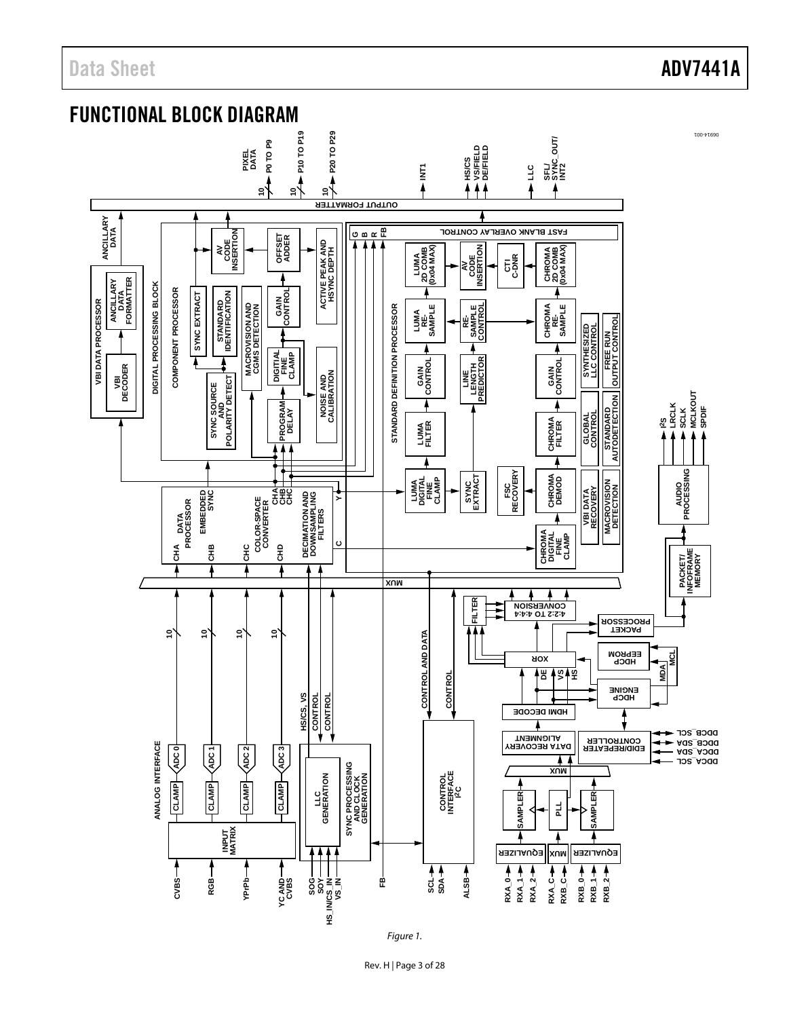### Data Sheet **ADV7441A**

<span id="page-2-0"></span>



*Figure 1.*

Rev. H | Page 3 of 28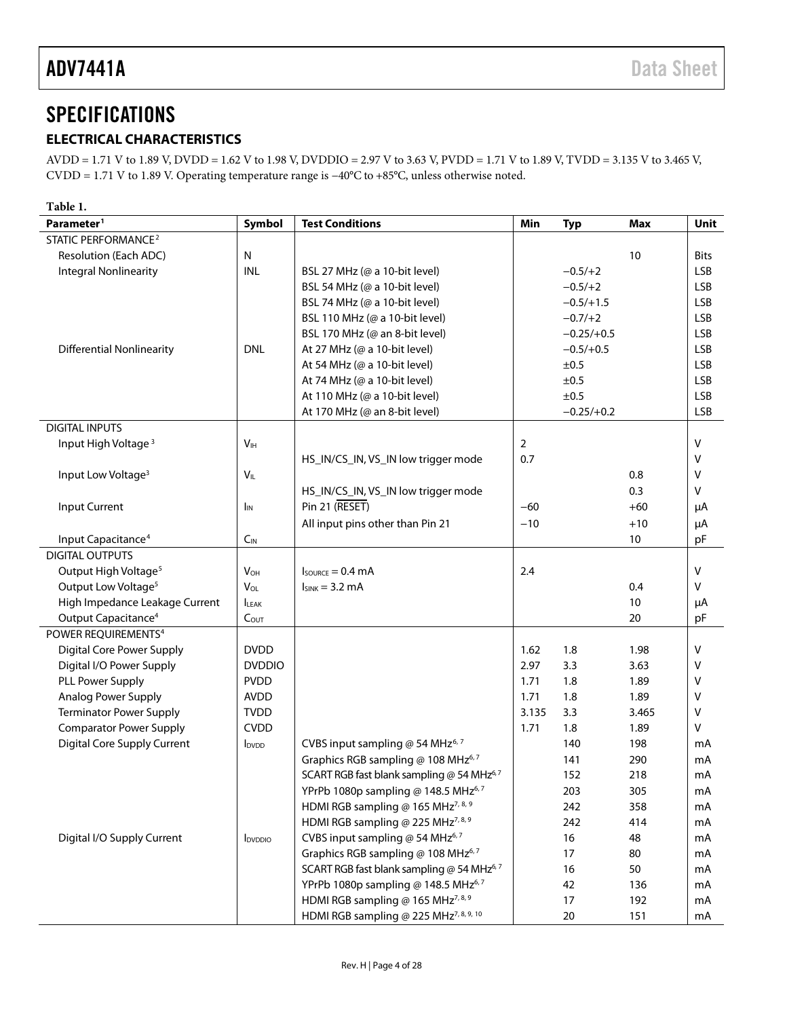### <span id="page-3-0"></span>**SPECIFICATIONS**

### <span id="page-3-1"></span>**ELECTRICAL CHARACTERISTICS**

AVDD = 1.71 V to 1.89 V, DVDD = 1.62 V to 1.98 V, DVDDIO = 2.97 V to 3.63 V, PVDD = 1.71 V to 1.89 V, TVDD = 3.135 V to 3.465 V, CVDD = 1.71 V to 1.89 V. Operating temperature range is −40°C to +85°C, unless otherwise noted.

| Table 1.                           |                            |                                                    |                |              |            |             |
|------------------------------------|----------------------------|----------------------------------------------------|----------------|--------------|------------|-------------|
| Parameter <sup>1</sup>             | Symbol                     | <b>Test Conditions</b>                             | Min            | <b>Typ</b>   | <b>Max</b> | <b>Unit</b> |
| STATIC PERFORMANCE <sup>2</sup>    |                            |                                                    |                |              |            |             |
| Resolution (Each ADC)              | N                          |                                                    |                |              | 10         | <b>Bits</b> |
| <b>Integral Nonlinearity</b>       | INL                        | BSL 27 MHz (@ a 10-bit level)                      |                | $-0.5/+2$    |            | <b>LSB</b>  |
|                                    |                            | BSL 54 MHz (@ a 10-bit level)                      |                | $-0.5/ + 2$  |            | <b>LSB</b>  |
|                                    |                            | BSL 74 MHz (@ a 10-bit level)                      |                | $-0.5/+1.5$  |            | <b>LSB</b>  |
|                                    |                            | BSL 110 MHz (@ a 10-bit level)                     |                | $-0.7/+2$    |            | <b>LSB</b>  |
|                                    |                            | BSL 170 MHz (@ an 8-bit level)                     |                | $-0.25/+0.5$ |            | <b>LSB</b>  |
| <b>Differential Nonlinearity</b>   | <b>DNL</b>                 | At 27 MHz (@ a 10-bit level)                       |                | $-0.5/+0.5$  |            | <b>LSB</b>  |
|                                    |                            | At 54 MHz (@ a 10-bit level)                       |                | ±0.5         |            | <b>LSB</b>  |
|                                    |                            | At 74 MHz (@ a 10-bit level)                       |                | ±0.5         |            | <b>LSB</b>  |
|                                    |                            | At 110 MHz (@ a 10-bit level)                      |                | ±0.5         |            | <b>LSB</b>  |
|                                    |                            | At 170 MHz (@ an 8-bit level)                      |                | $-0.25/+0.2$ |            | <b>LSB</b>  |
| <b>DIGITAL INPUTS</b>              |                            |                                                    |                |              |            |             |
| Input High Voltage <sup>3</sup>    | V <sub>IH</sub>            |                                                    | $\overline{2}$ |              |            | V           |
|                                    |                            | HS_IN/CS_IN, VS_IN low trigger mode                | 0.7            |              |            | v           |
| Input Low Voltage <sup>3</sup>     | $V_{IL}$                   |                                                    |                |              | 0.8        | $\vee$      |
|                                    |                            | HS_IN/CS_IN, VS_IN low trigger mode                |                |              | 0.3        | V           |
| <b>Input Current</b>               | <b>I</b> <sub>IN</sub>     | Pin 21 (RESET)                                     | $-60$          |              | $+60$      | μA          |
|                                    |                            | All input pins other than Pin 21                   | $-10$          |              | $+10$      | μA          |
| Input Capacitance <sup>4</sup>     | $C_{IN}$                   |                                                    |                |              | 10         | pF          |
| <b>DIGITAL OUTPUTS</b>             |                            |                                                    |                |              |            |             |
| Output High Voltage <sup>5</sup>   | <b>V</b> <sub>OH</sub>     | $I_{\text{SOWRCE}} = 0.4 \text{ mA}$               | 2.4            |              |            | V           |
| Output Low Voltage <sup>5</sup>    | $V_{OL}$                   | $I_{SINK} = 3.2$ mA                                |                |              | 0.4        | $\vee$      |
| High Impedance Leakage Current     | <b>LEAK</b>                |                                                    |                |              | 10         | μA          |
| Output Capacitance <sup>4</sup>    | $C_{OUT}$                  |                                                    |                |              | 20         | pF          |
| POWER REQUIREMENTS <sup>4</sup>    |                            |                                                    |                |              |            |             |
| <b>Digital Core Power Supply</b>   | <b>DVDD</b>                |                                                    | 1.62           | 1.8          | 1.98       | V           |
| Digital I/O Power Supply           | <b>DVDDIO</b>              |                                                    | 2.97           | 3.3          | 3.63       | V           |
| PLL Power Supply                   | <b>PVDD</b>                |                                                    | 1.71           | 1.8          | 1.89       | v           |
| Analog Power Supply                | <b>AVDD</b>                |                                                    | 1.71           | 1.8          | 1.89       | v           |
| <b>Terminator Power Supply</b>     | <b>TVDD</b>                |                                                    | 3.135          | 3.3          | 3.465      | $\vee$      |
| <b>Comparator Power Supply</b>     | <b>CVDD</b>                |                                                    | 1.71           | 1.8          | 1.89       | V           |
| <b>Digital Core Supply Current</b> | <b>I</b> <sub>DVDD</sub>   | CVBS input sampling @ 54 MHz <sup>6, 7</sup>       |                | 140          | 198        | mA          |
|                                    |                            | Graphics RGB sampling @ 108 MHz <sup>6,7</sup>     |                | 141          | 290        | mA          |
|                                    |                            | SCART RGB fast blank sampling @ 54 MHz67           |                | 152          | 218        | mA          |
|                                    |                            | YPrPb 1080p sampling @ 148.5 MHz6,7                |                | 203          | 305        | mA          |
|                                    |                            | HDMI RGB sampling @ 165 MHz <sup>7, 8, 9</sup>     |                | 242          | 358        | mA          |
|                                    |                            | HDMI RGB sampling @ 225 MHz <sup>7, 8, 9</sup>     |                | 242          | 414        | mA          |
| Digital I/O Supply Current         | <b>I</b> <sub>DVDDIO</sub> | CVBS input sampling @ 54 MHz <sup>6,7</sup>        |                | 16           | 48         | mA          |
|                                    |                            | Graphics RGB sampling @ 108 MHz <sup>6,7</sup>     |                | 17           | 80         | mA          |
|                                    |                            | SCART RGB fast blank sampling @ 54 MHz6,7          |                | 16           | 50         | mA          |
|                                    |                            | YPrPb 1080p sampling @ 148.5 MHz6,7                |                | 42           | 136        | mA          |
|                                    |                            | HDMI RGB sampling @ 165 MHz <sup>7, 8, 9</sup>     |                | 17           | 192        | mA          |
|                                    |                            | HDMI RGB sampling @ 225 MHz <sup>7, 8, 9, 10</sup> |                | $20\,$       | 151        | mA          |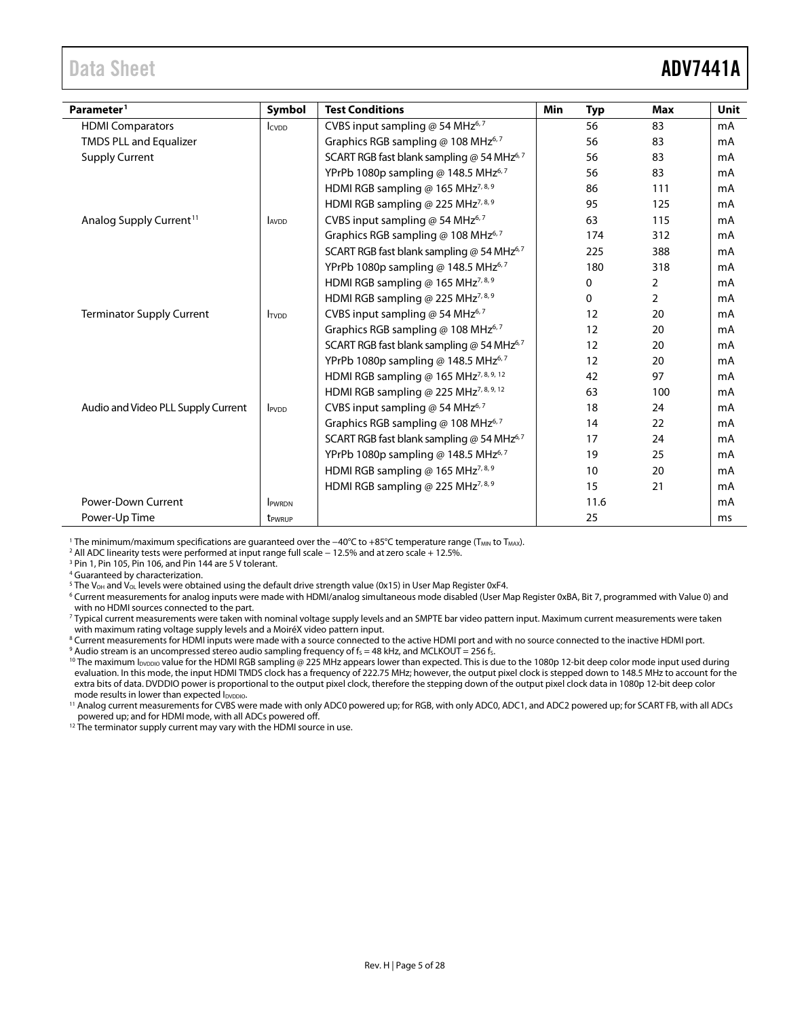### <span id="page-4-0"></span>Data Sheet **ADV7441A**

| Parameter <sup>1</sup>              | Symbol                   | <b>Test Conditions</b>                                 | <b>Min</b> | <b>Typ</b> | Max            | <b>Unit</b> |
|-------------------------------------|--------------------------|--------------------------------------------------------|------------|------------|----------------|-------------|
| <b>HDMI Comparators</b>             | <b>I</b> CVDD            | CVBS input sampling @ 54 MHz <sup>6,7</sup>            |            | 56         | 83             | mA          |
| <b>TMDS PLL and Equalizer</b>       |                          | Graphics RGB sampling @ 108 MHz <sup>6,7</sup>         |            | 56         | 83             | mA          |
| <b>Supply Current</b>               |                          | SCART RGB fast blank sampling @ 54 MHz <sup>6, 7</sup> |            | 56         | 83             | mA          |
|                                     |                          | YPrPb 1080p sampling @ 148.5 MHz6,7                    |            | 56         | 83             | mA          |
|                                     |                          | HDMI RGB sampling @ 165 MHz <sup>7, 8, 9</sup>         |            | 86         | 111            | mA          |
|                                     |                          | HDMI RGB sampling @ 225 MHz <sup>7,8,9</sup>           |            | 95         | 125            | mA          |
| Analog Supply Current <sup>11</sup> | <b>AVDD</b>              | CVBS input sampling @ 54 MHz <sup>6,7</sup>            |            | 63         | 115            | mA          |
|                                     |                          | Graphics RGB sampling @ 108 MHz <sup>6,7</sup>         |            | 174        | 312            | mA          |
|                                     |                          | SCART RGB fast blank sampling @ 54 MHz <sup>6,7</sup>  |            | 225        | 388            | mA          |
|                                     |                          | YPrPb 1080p sampling @ 148.5 MHz6,7                    |            | 180        | 318            | mA          |
|                                     |                          | HDMI RGB sampling @ 165 MHz <sup>7, 8, 9</sup>         |            | 0          | 2              | mA          |
|                                     |                          | HDMI RGB sampling @ 225 MHz <sup>7, 8, 9</sup>         |            | 0          | $\overline{2}$ | mA          |
| <b>Terminator Supply Current</b>    | <b>TVDD</b>              | CVBS input sampling @ 54 MHz <sup>6,7</sup>            |            | 12         | 20             | mA          |
|                                     |                          | Graphics RGB sampling @ 108 MHz <sup>6,7</sup>         |            | 12         | 20             | mA          |
|                                     |                          | SCART RGB fast blank sampling @ 54 MHz $6,7$           |            | 12         | 20             | mA          |
|                                     |                          | YPrPb 1080p sampling @ 148.5 MHz6,7                    |            | 12         | 20             | mA          |
|                                     |                          | HDMI RGB sampling @ 165 MHz <sup>7, 8, 9, 12</sup>     |            | 42         | 97             | mA          |
|                                     |                          | HDMI RGB sampling @ 225 MHz <sup>7, 8, 9, 12</sup>     |            | 63         | 100            | mA          |
| Audio and Video PLL Supply Current  | <b>I</b> <sub>PVDD</sub> | CVBS input sampling @ 54 MHz <sup>6,7</sup>            |            | 18         | 24             | mA          |
|                                     |                          | Graphics RGB sampling @ 108 MHz <sup>6,7</sup>         |            | 14         | 22             | mA          |
|                                     |                          | SCART RGB fast blank sampling @ 54 MHz <sup>6,7</sup>  |            | 17         | 24             | mA          |
|                                     |                          | YPrPb 1080p sampling @ 148.5 MHz <sup>6,7</sup>        |            | 19         | 25             | mA          |
|                                     |                          | HDMI RGB sampling @ 165 MHz <sup>7,8,9</sup>           |            | 10         | 20             | mA          |
|                                     |                          | HDMI RGB sampling @ 225 MHz <sup>7, 8, 9</sup>         |            | 15         | 21             | mA          |
| Power-Down Current                  | <b>IPWRDN</b>            |                                                        |            | 11.6       |                | mA          |
| Power-Up Time                       | t <sub>PWRUP</sub>       |                                                        |            | 25         |                | ms          |

<span id="page-4-1"></span>1 The minimum/maximum specifications are guaranteed over the −40°C to +85°C temperature range (T<sub>MIN</sub> to T<sub>MAX</sub>).

<sup>2</sup> All ADC linearity tests were performed at input range full scale − 12.5% and at zero scale + 12.5%.

<sup>3</sup> Pin 1, Pin 105, Pin 106, and Pin 144 are 5 V tolerant.

<sup>4</sup> Guaranteed by characterization.

<sup>5</sup> The V<sub>OH</sub> and V<sub>OL</sub> levels were obtained using the default drive strength value (0x15) in User Map Register 0xF4.

<sup>6</sup> Current measurements for analog inputs were made with HDMI/analog simultaneous mode disabled (User Map Register 0xBA, Bit 7, programmed with Value 0) and with no HDMI sources connected to the part.

<sup>7</sup> Typical current measurements were taken with nominal voltage supply levels and an SMPTE bar video pattern input. Maximum current measurements were taken with maximum rating voltage supply levels and a MoiréX video pattern input.

<sup>8</sup> Current measurements for HDMI inputs were made with a source connected to the active HDMI port and with no source connected to the inactive HDMI port.<br><sup>9</sup> Audio stream is an uncompressed stereo audio sampling frequency

<sup>10</sup> The maximum I<sub>DVDDIO</sub> value for the HDMI RGB sampling @ 225 MHz appears lower than expected. This is due to the 1080p 12-bit deep color mode input used during evaluation. In this mode, the input HDMI TMDS clock has a frequency of 222.75 MHz; however, the output pixel clock is stepped down to 148.5 MHz to account for the extra bits of data. DVDDIO power is proportional to the output pixel clock, therefore the stepping down of the output pixel clock data in 1080p 12-bit deep color mode results in lower than expected I<sub>DVDDIO</sub>.

<sup>11</sup> Analog current measurements for CVBS were made with only ADC0 powered up; for RGB, with only ADC0, ADC1, and ADC2 powered up; for SCART FB, with all ADCs powered up; and for HDMI mode, with all ADCs powered off.

<sup>12</sup> The terminator supply current may vary with the HDMI source in use.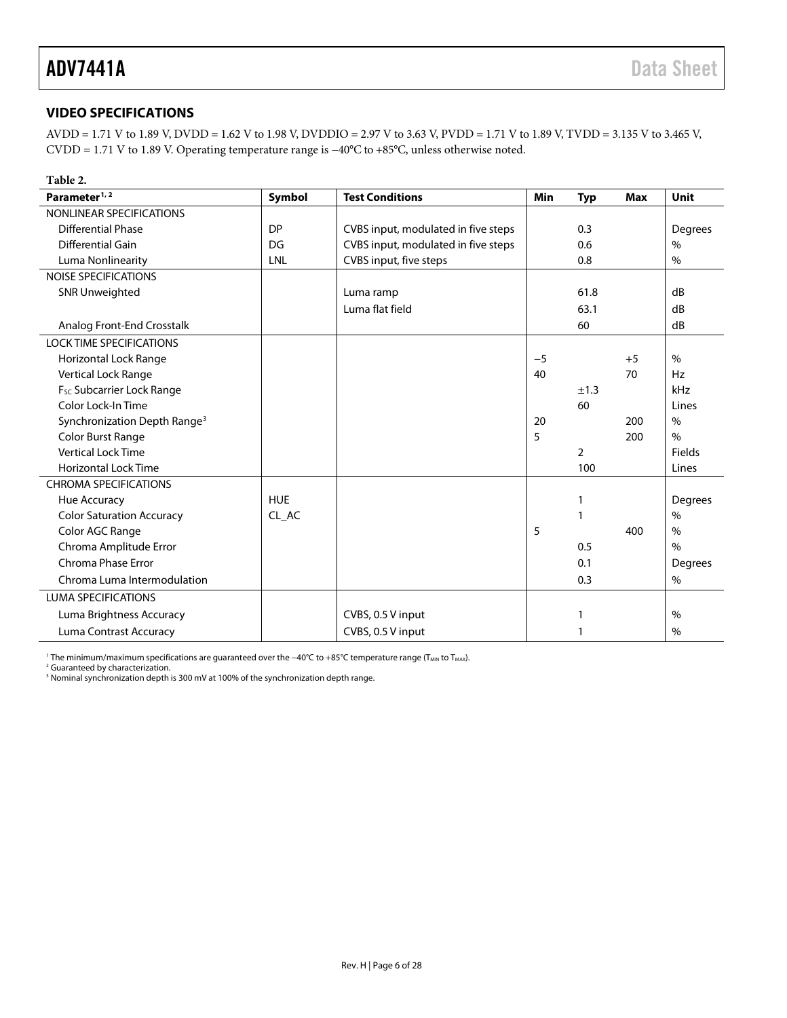### <span id="page-5-0"></span>**VIDEO SPECIFICATIONS**

AVDD = 1.71 V to 1.89 V, DVDD = 1.62 V to 1.98 V, DVDDIO = 2.97 V to 3.63 V, PVDD = 1.71 V to 1.89 V, TVDD = 3.135 V to 3.465 V, CVDD = 1.71 V to 1.89 V. Operating temperature range is −40°C to +85°C, unless otherwise noted.

| Table 2.                                 |            |                                     |      |            |            |               |
|------------------------------------------|------------|-------------------------------------|------|------------|------------|---------------|
| Parameter <sup>1, 2</sup>                | Symbol     | <b>Test Conditions</b>              | Min  | <b>Typ</b> | <b>Max</b> | Unit          |
| NONLINEAR SPECIFICATIONS                 |            |                                     |      |            |            |               |
| <b>Differential Phase</b>                | <b>DP</b>  | CVBS input, modulated in five steps |      | 0.3        |            | Degrees       |
| Differential Gain                        | DG         | CVBS input, modulated in five steps |      | 0.6        |            | $\frac{0}{0}$ |
| Luma Nonlinearity                        | LNL        | CVBS input, five steps              |      | 0.8        |            | $\frac{0}{0}$ |
| <b>NOISE SPECIFICATIONS</b>              |            |                                     |      |            |            |               |
| <b>SNR Unweighted</b>                    |            | Luma ramp                           |      | 61.8       |            | dB            |
|                                          |            | Luma flat field                     |      | 63.1       |            | dB            |
| Analog Front-End Crosstalk               |            |                                     |      | 60         |            | dB            |
| <b>LOCK TIME SPECIFICATIONS</b>          |            |                                     |      |            |            |               |
| Horizontal Lock Range                    |            |                                     | $-5$ |            | $+5$       | $\%$          |
| Vertical Lock Range                      |            |                                     | 40   |            | 70         | Hz            |
| F <sub>sc</sub> Subcarrier Lock Range    |            |                                     |      | ±1.3       |            | kHz           |
| Color Lock-In Time                       |            |                                     |      | 60         |            | Lines         |
| Synchronization Depth Range <sup>3</sup> |            |                                     | 20   |            | 200        | $\%$          |
| <b>Color Burst Range</b>                 |            |                                     | 5    |            | 200        | $\frac{0}{0}$ |
| <b>Vertical Lock Time</b>                |            |                                     |      | 2          |            | Fields        |
| <b>Horizontal Lock Time</b>              |            |                                     |      | 100        |            | Lines         |
| <b>CHROMA SPECIFICATIONS</b>             |            |                                     |      |            |            |               |
| Hue Accuracy                             | <b>HUE</b> |                                     |      | 1          |            | Degrees       |
| <b>Color Saturation Accuracy</b>         | CL_AC      |                                     |      | 1          |            | $\frac{0}{0}$ |
| Color AGC Range                          |            |                                     | 5    |            | 400        | $\frac{0}{0}$ |
| Chroma Amplitude Error                   |            |                                     |      | 0.5        |            | $\frac{0}{0}$ |
| Chroma Phase Error                       |            |                                     |      | 0.1        |            | Degrees       |
| Chroma Luma Intermodulation              |            |                                     |      | 0.3        |            | $\%$          |
| <b>LUMA SPECIFICATIONS</b>               |            |                                     |      |            |            |               |
| Luma Brightness Accuracy                 |            | CVBS, 0.5 V input                   |      | 1          |            | $\frac{0}{0}$ |
| Luma Contrast Accuracy                   |            | CVBS, 0.5 V input                   |      | 1          |            | $\frac{0}{0}$ |

<sup>1</sup> The minimum/maximum specifications are guaranteed over the −40°C to +85°C temperature range (T<sub>MIN</sub> to T<sub>MAX</sub>).

<sup>2</sup> Guaranteed by characterization.

<sup>3</sup> Nominal synchronization depth is 300 mV at 100% of the synchronization depth range.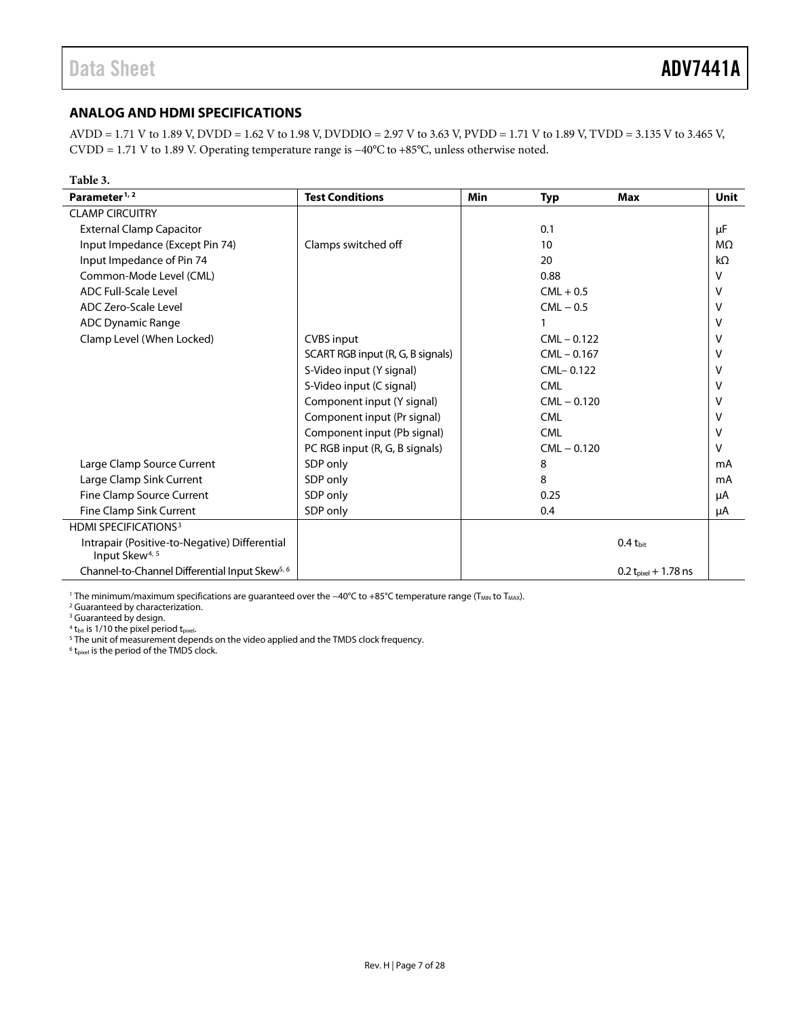#### <span id="page-6-0"></span>**ANALOG AND HDMI SPECIFICATIONS**

AVDD = 1.71 V to 1.89 V, DVDD = 1.62 V to 1.98 V, DVDDIO = 2.97 V to 3.63 V, PVDD = 1.71 V to 1.89 V, TVDD = 3.135 V to 3.465 V, CVDD = 1.71 V to 1.89 V. Operating temperature range is −40°C to +85°C, unless otherwise noted.

| Table 3.                                                                    |                                   |            |               |                           |             |
|-----------------------------------------------------------------------------|-----------------------------------|------------|---------------|---------------------------|-------------|
| Parameter <sup>1, 2</sup>                                                   | <b>Test Conditions</b>            | <b>Min</b> | <b>Typ</b>    | <b>Max</b>                | <b>Unit</b> |
| <b>CLAMP CIRCUITRY</b>                                                      |                                   |            |               |                           |             |
| <b>External Clamp Capacitor</b>                                             |                                   |            | 0.1           |                           | μF          |
| Input Impedance (Except Pin 74)                                             | Clamps switched off               |            | 10            |                           | $M\Omega$   |
| Input Impedance of Pin 74                                                   |                                   |            | 20            |                           | $k\Omega$   |
| Common-Mode Level (CML)                                                     |                                   |            | 0.88          |                           | V           |
| <b>ADC Full-Scale Level</b>                                                 |                                   |            | $CML + 0.5$   |                           | v           |
| <b>ADC Zero-Scale Level</b>                                                 |                                   |            | $CML - 0.5$   |                           | v           |
| <b>ADC Dynamic Range</b>                                                    |                                   |            |               |                           | v           |
| Clamp Level (When Locked)                                                   | <b>CVBS</b> input                 |            | $CML - 0.122$ |                           | v           |
|                                                                             | SCART RGB input (R, G, B signals) |            | $CML - 0.167$ |                           | v           |
|                                                                             | S-Video input (Y signal)          |            | CML-0.122     |                           | v           |
|                                                                             | S-Video input (C signal)          |            | <b>CML</b>    |                           | v           |
|                                                                             | Component input (Y signal)        |            | $CML - 0.120$ |                           | v           |
|                                                                             | Component input (Pr signal)       |            | <b>CML</b>    |                           | v           |
|                                                                             | Component input (Pb signal)       |            | <b>CML</b>    |                           | v           |
|                                                                             | PC RGB input (R, G, B signals)    |            | $CML - 0.120$ |                           | $\vee$      |
| Large Clamp Source Current                                                  | SDP only                          |            | 8             |                           | mA          |
| Large Clamp Sink Current                                                    | SDP only                          |            | 8             |                           | mA          |
| Fine Clamp Source Current                                                   | SDP only                          |            | 0.25          |                           | μA          |
| Fine Clamp Sink Current                                                     | SDP only                          |            | 0.4           |                           | μA          |
| <b>HDMI SPECIFICATIONS3</b>                                                 |                                   |            |               |                           |             |
| Intrapair (Positive-to-Negative) Differential<br>Input Skew <sup>4, 5</sup> |                                   |            |               | $0.4 t_{\text{bit}}$      |             |
| Channel-to-Channel Differential Input Skew <sup>5, 6</sup>                  |                                   |            |               | 0.2 $t_{pixel}$ + 1.78 ns |             |

<span id="page-6-1"></span>1 The minimum/maximum specifications are guaranteed over the −40°C to +85°C temperature range (T<sub>MIN</sub> to T<sub>MAX</sub>).

<sup>2</sup> Guaranteed by characterization.

<sup>3</sup> Guaranteed by design.

 $4$  t<sub>bit</sub> is 1/10 the pixel period t<sub>pixel</sub>.

<sup>5</sup> The unit of measurement depends on the video applied and the TMDS clock frequency.

 $6$  t<sub>pixel</sub> is the period of the TMDS clock.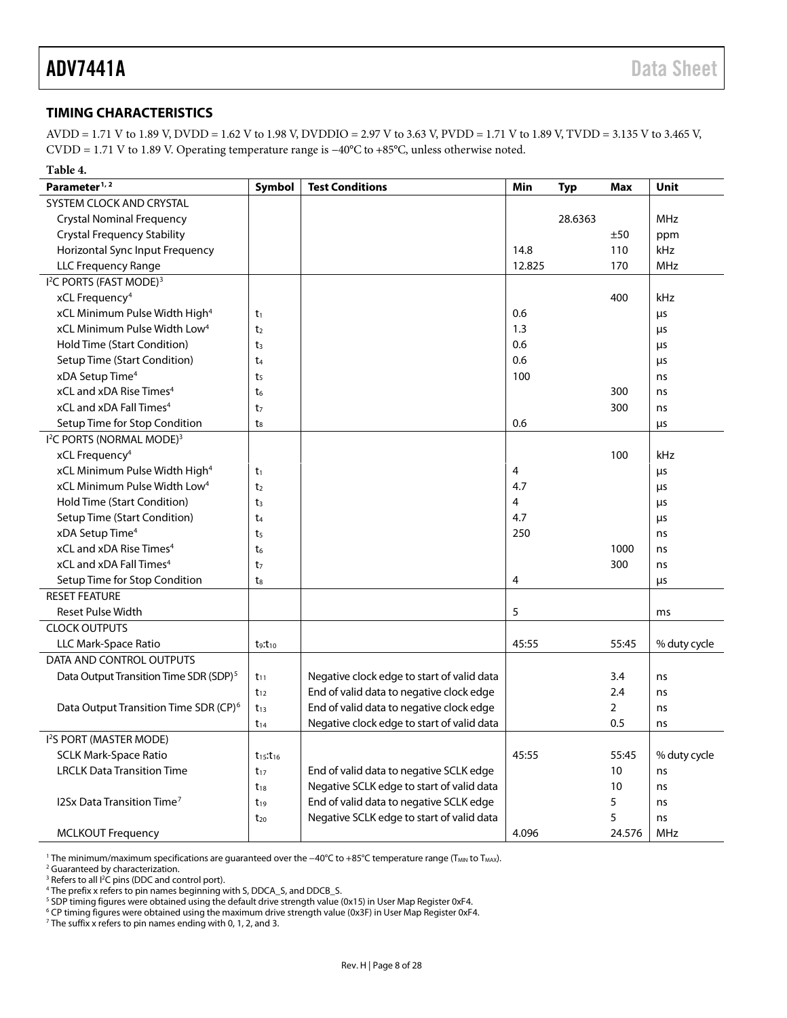#### <span id="page-7-0"></span>**TIMING CHARACTERISTICS**

AVDD = 1.71 V to 1.89 V, DVDD = 1.62 V to 1.98 V, DVDDIO = 2.97 V to 3.63 V, PVDD = 1.71 V to 1.89 V, TVDD = 3.135 V to 3.465 V, CVDD = 1.71 V to 1.89 V. Operating temperature range is −40°C to +85°C, unless otherwise noted.

<span id="page-7-1"></span>

| Table 4.                                           |                 |                                            |        |            |                |              |
|----------------------------------------------------|-----------------|--------------------------------------------|--------|------------|----------------|--------------|
| Parameter <sup>1, 2</sup>                          | <b>Symbol</b>   | <b>Test Conditions</b>                     | Min    | <b>Typ</b> | <b>Max</b>     | <b>Unit</b>  |
| SYSTEM CLOCK AND CRYSTAL                           |                 |                                            |        |            |                |              |
| <b>Crystal Nominal Frequency</b>                   |                 |                                            |        | 28.6363    |                | <b>MHz</b>   |
| <b>Crystal Frequency Stability</b>                 |                 |                                            |        |            | ±50            | ppm          |
| Horizontal Sync Input Frequency                    |                 |                                            | 14.8   |            | 110            | kHz          |
| <b>LLC Frequency Range</b>                         |                 |                                            | 12.825 |            | 170            | MHz          |
| I <sup>2</sup> C PORTS (FAST MODE) <sup>3</sup>    |                 |                                            |        |            |                |              |
| xCL Frequency <sup>4</sup>                         |                 |                                            |        |            | 400            | kHz          |
| xCL Minimum Pulse Width High <sup>4</sup>          | $t_1$           |                                            | 0.6    |            |                | $\mu$ s      |
| xCL Minimum Pulse Width Low <sup>4</sup>           | t <sub>2</sub>  |                                            | 1.3    |            |                | $\mu$ s      |
| Hold Time (Start Condition)                        | t <sub>3</sub>  |                                            | 0.6    |            |                | $\mu$ s      |
| Setup Time (Start Condition)                       | t <sub>4</sub>  |                                            | 0.6    |            |                | μs           |
| xDA Setup Time <sup>4</sup>                        | t <sub>5</sub>  |                                            | 100    |            |                | ns           |
| xCL and xDA Rise Times <sup>4</sup>                | t <sub>6</sub>  |                                            |        |            | 300            | ns           |
| xCL and xDA Fall Times <sup>4</sup>                | t <sub>7</sub>  |                                            |        |            | 300            | ns           |
| Setup Time for Stop Condition                      | $t_8$           |                                            | 0.6    |            |                | $\mu$ s      |
| <sup>12</sup> C PORTS (NORMAL MODE) <sup>3</sup>   |                 |                                            |        |            |                |              |
| xCL Frequency <sup>4</sup>                         |                 |                                            |        |            | 100            | kHz          |
| xCL Minimum Pulse Width High <sup>4</sup>          | t <sub>1</sub>  |                                            | 4      |            |                | μs           |
| xCL Minimum Pulse Width Low <sup>4</sup>           | t <sub>2</sub>  |                                            | 4.7    |            |                | μs           |
| Hold Time (Start Condition)                        | t <sub>3</sub>  |                                            | 4      |            |                | μs           |
| Setup Time (Start Condition)                       | t <sub>4</sub>  |                                            | 4.7    |            |                | μs           |
| xDA Setup Time <sup>4</sup>                        | t <sub>5</sub>  |                                            | 250    |            |                | ns           |
| xCL and xDA Rise Times <sup>4</sup>                | t <sub>6</sub>  |                                            |        |            | 1000           | ns           |
| xCL and xDA Fall Times <sup>4</sup>                | t <sub>7</sub>  |                                            |        |            | 300            | ns           |
| Setup Time for Stop Condition                      | $t_{8}$         |                                            | 4      |            |                | μs           |
| <b>RESET FEATURE</b>                               |                 |                                            |        |            |                |              |
| <b>Reset Pulse Width</b>                           |                 |                                            | 5      |            |                | ms           |
| <b>CLOCK OUTPUTS</b>                               |                 |                                            |        |            |                |              |
| LLC Mark-Space Ratio                               | $t_9:t_{10}$    |                                            | 45:55  |            | 55:45          | % duty cycle |
| DATA AND CONTROL OUTPUTS                           |                 |                                            |        |            |                |              |
| Data Output Transition Time SDR (SDP) <sup>5</sup> | $t_{11}$        | Negative clock edge to start of valid data |        |            | 3.4            | ns           |
|                                                    | $t_{12}$        | End of valid data to negative clock edge   |        |            | 2.4            | ns           |
| Data Output Transition Time SDR (CP) <sup>6</sup>  | $t_{13}$        | End of valid data to negative clock edge   |        |            | $\overline{2}$ | ns           |
|                                                    | $t_{14}$        | Negative clock edge to start of valid data |        |            | 0.5            | ns           |
| I <sup>2</sup> S PORT (MASTER MODE)                |                 |                                            |        |            |                |              |
| <b>SCLK Mark-Space Ratio</b>                       | $t_{15}:t_{16}$ |                                            | 45:55  |            | 55:45          | % duty cycle |
| <b>LRCLK Data Transition Time</b>                  | $t_{17}$        | End of valid data to negative SCLK edge    |        |            | 10             | ns           |
|                                                    | $t_{18}$        | Negative SCLK edge to start of valid data  |        |            | 10             | ns           |
| 12Sx Data Transition Time <sup>7</sup>             | $t_{19}$        | End of valid data to negative SCLK edge    |        |            | 5              | ns           |
|                                                    | $t_{20}$        | Negative SCLK edge to start of valid data  |        |            | 5              | ns           |
| <b>MCLKOUT Frequency</b>                           |                 |                                            | 4.096  |            | 24.576         | <b>MHz</b>   |

<sup>1</sup> The minimum/maximum specifications are guaranteed over the −40°C to +85°C temperature range (T<sub>MIN</sub> to T<sub>MAX</sub>).

<sup>2</sup> Guaranteed by characterization.

<sup>3</sup> Refers to all  $l^2$ 

The prefix x refers to pin names beginning with S, DDCA\_S, and DDCB\_S.

<sup>5</sup> SDP timing figures were obtained using the default drive strength value (0x15) in User Map Register 0xF4.<br><sup>6</sup> CP timing figures were obtained using the maximum drive strength value (0x3F) in User Map Register 0xF4.<br><sup>7</sup>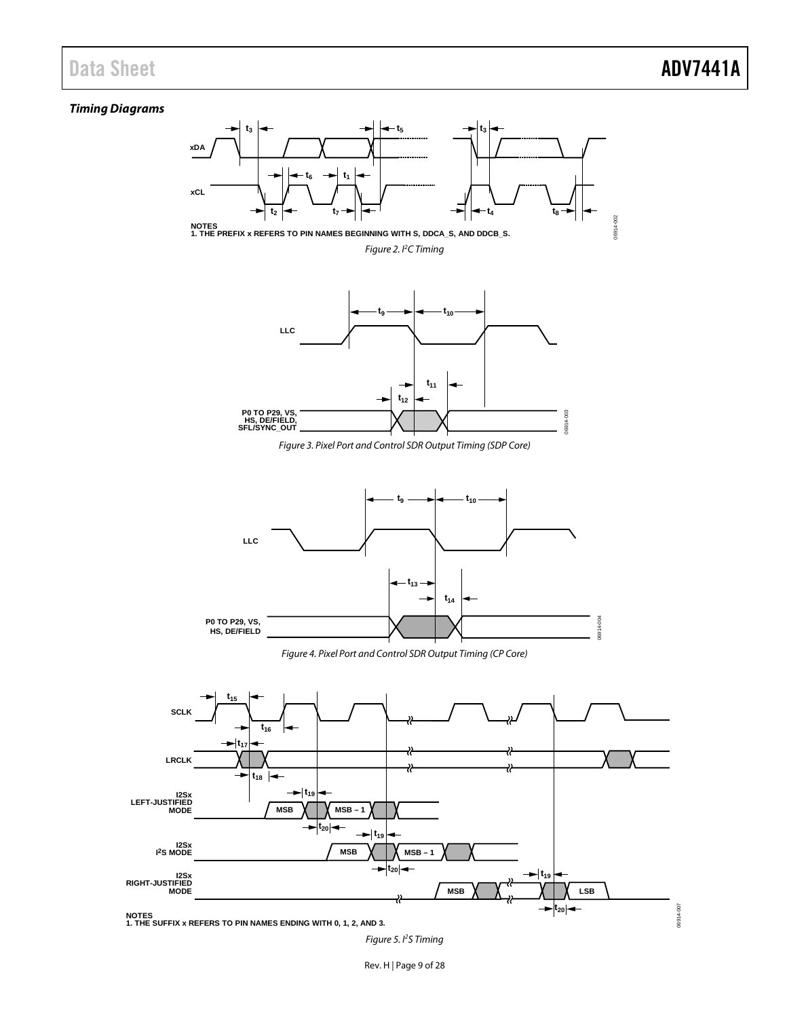#### *Timing Diagrams*



*Figure 5. I 2 S Timing*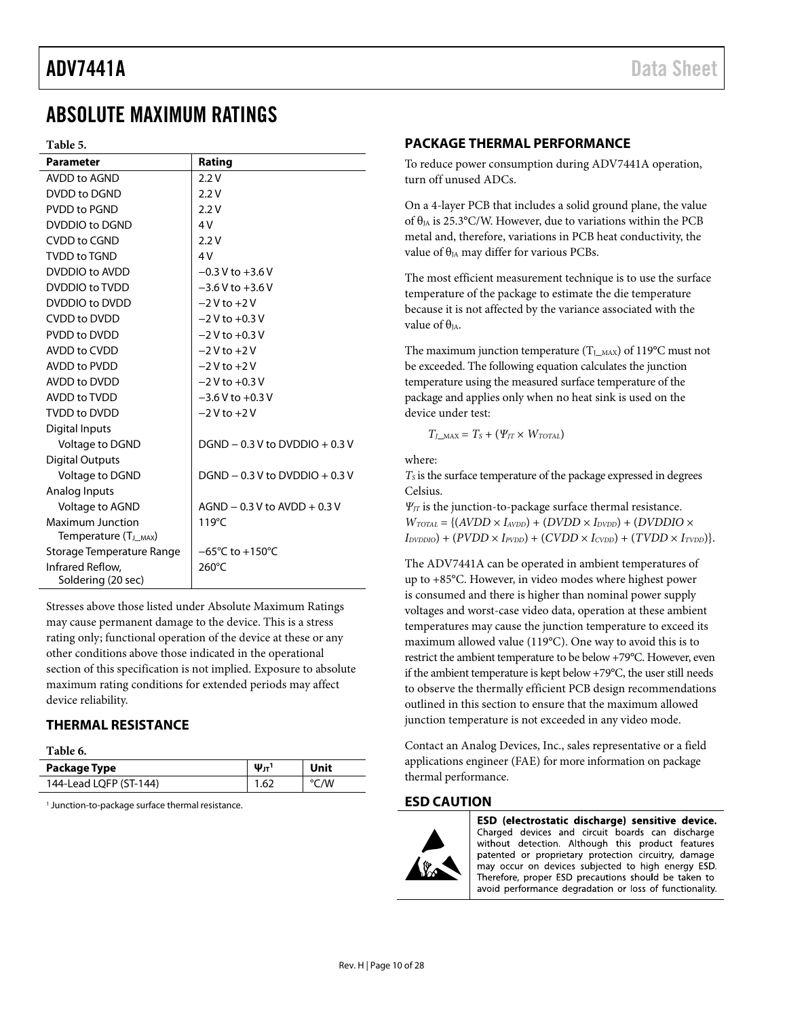### <span id="page-9-0"></span>ABSOLUTE MAXIMUM RATINGS

#### **Table 5.**

| <b>Parameter</b>                  | Rating                              |
|-----------------------------------|-------------------------------------|
| AVDD to AGND                      | 2.2V                                |
| DVDD to DGND                      | 2.2V                                |
| PVDD to PGND                      | 2.2V                                |
| DVDDIO to DGND                    | 4V                                  |
| CVDD to CGND                      | 2.2V                                |
| <b>TVDD to TGND</b>               | 4V                                  |
| DVDDIO to AVDD                    | $-0.3$ V to $+3.6$ V                |
| DVDDIO to TVDD                    | $-3.6$ V to $+3.6$ V                |
| DVDDIO to DVDD                    | $-2V$ to $+2V$                      |
| <b>CVDD to DVDD</b>               | $-2V$ to $+0.3V$                    |
| PVDD to DVDD                      | $-2V$ to $+0.3V$                    |
| AVDD to CVDD                      | $-2V$ to $+2V$                      |
| AVDD to PVDD                      | $-2V$ to $+2V$                      |
| AVDD to DVDD                      | $-2V$ to $+0.3V$                    |
| AVDD to TVDD                      | $-3.6$ V to $+0.3$ V                |
| <b>TVDD to DVDD</b>               | $-2V$ to $+2V$                      |
| Digital Inputs                    |                                     |
| Voltage to DGND                   | $DGND - 0.3 V$ to $DVDDO + 0.3 V$   |
| <b>Digital Outputs</b>            |                                     |
| Voltage to DGND                   | $DGND - 0.3 V$ to $DVDDO + 0.3 V$   |
| Analog Inputs                     |                                     |
| Voltage to AGND                   | $AGND - 0.3 V$ to $AVDD + 0.3 V$    |
| <b>Maximum Junction</b>           | 119°C                               |
| Temperature (T <sub>J_MAX</sub> ) |                                     |
| Storage Temperature Range         | $-65^{\circ}$ C to $+150^{\circ}$ C |
| Infrared Reflow.                  | 260°C                               |
| Soldering (20 sec)                |                                     |

Stresses above those listed under Absolute Maximum Ratings may cause permanent damage to the device. This is a stress rating only; functional operation of the device at these or any other conditions above those indicated in the operational section of this specification is not implied. Exposure to absolute maximum rating conditions for extended periods may affect device reliability.

#### <span id="page-9-1"></span>**THERMAL RESISTANCE**

**Table 6.** 

| Package Type           | $\Psi_{\text{JT}}^1$ | Unit |
|------------------------|----------------------|------|
| 144-Lead LQFP (ST-144) | 1.62                 | °C/W |

<sup>1</sup> Junction-to-package surface thermal resistance.

#### <span id="page-9-2"></span>**PACKAGE THERMAL PERFORMANCE**

To reduce power consumption during ADV7441A operation, turn off unused ADCs.

On a 4-layer PCB that includes a solid ground plane, the value of  $\theta_{IA}$  is 25.3°C/W. However, due to variations within the PCB metal and, therefore, variations in PCB heat conductivity, the value of  $\theta_{JA}$  may differ for various PCBs.

The most efficient measurement technique is to use the surface temperature of the package to estimate the die temperature because it is not affected by the variance associated with the value of  $\theta_{IA}$ .

The maximum junction temperature  $(T_{J_MAX})$  of 119°C must not be exceeded. The following equation calculates the junction temperature using the measured surface temperature of the package and applies only when no heat sink is used on the device under test:

 $T_{I\_{MAX}} = T_s + (\Psi_{IT} \times W_{TOTAL})$ 

where:

 $T<sub>S</sub>$  is the surface temperature of the package expressed in degrees Celsius.

*ΨJT* is the junction-to-package surface thermal resistance.  $W_{\text{TOTAL}} = \{(AVDD \times I_{\text{AVDD}}) + (DVDD \times I_{\text{DVDD}}) + (DVDDIO \times I_{\text{DVDD}})\}$  $I_{DVDDIO}$  + ( $PVDD \times I_{PVDD}$ ) + ( $CVDD \times I_{CVDD}$ ) + ( $TVDD \times I_{TVDD}$ )}.

The ADV7441A can be operated in ambient temperatures of up to +85°C. However, in video modes where highest power is consumed and there is higher than nominal power supply voltages and worst-case video data, operation at these ambient temperatures may cause the junction temperature to exceed its maximum allowed value (119°C). One way to avoid this is to restrict the ambient temperature to be below +79°C. However, even if the ambient temperature is kept below +79°C, the user still needs to observe the thermally efficient PCB design recommendations outlined in this section to ensure that the maximum allowed junction temperature is not exceeded in any video mode.

Contact an Analog Devices, Inc., sales representative or a field applications engineer (FAE) for more information on package thermal performance.

#### <span id="page-9-3"></span>**ESD CAUTION**



ESD (electrostatic discharge) sensitive device. Charged devices and circuit boards can discharge without detection. Although this product features patented or proprietary protection circuitry, damage may occur on devices subjected to high energy ESD. Therefore, proper ESD precautions should be taken to avoid performance degradation or loss of functionality.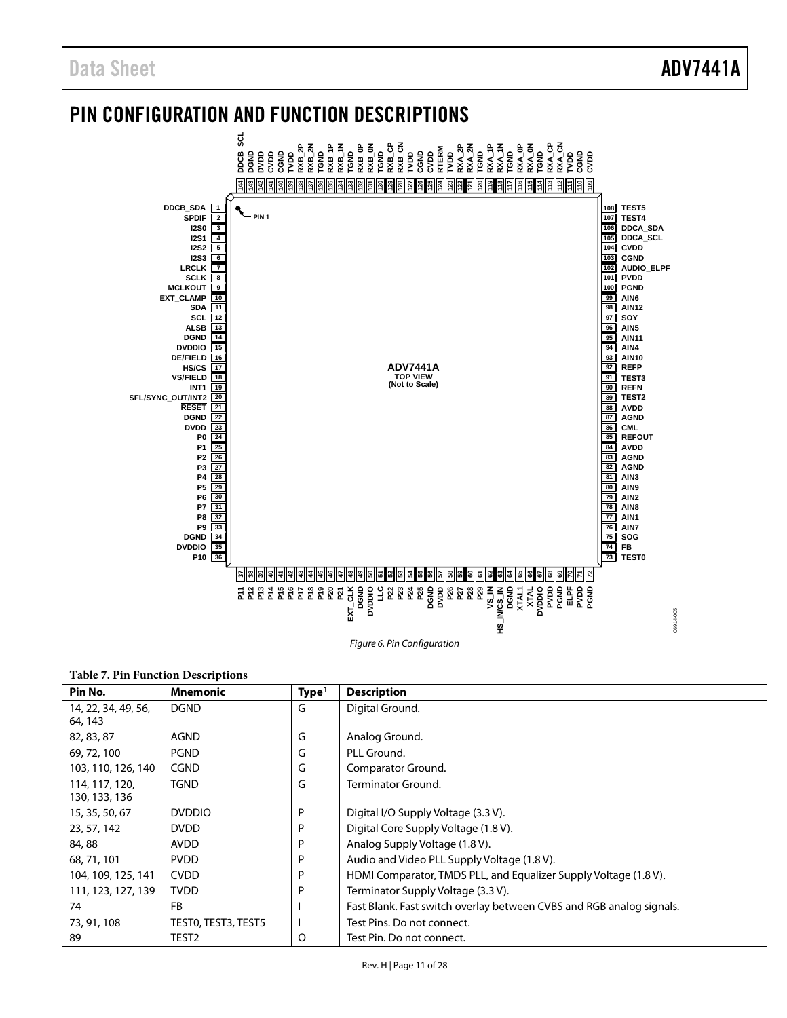### <span id="page-10-0"></span>PIN CONFIGURATION AND FUNCTION DESCRIPTIONS



*Figure 6. Pin Configuration*

#### **Table 7. Pin Function Descriptions**

| Pin No.             | <b>Mnemonic</b>     | Type <sup>1</sup> | <b>Description</b>                                                   |
|---------------------|---------------------|-------------------|----------------------------------------------------------------------|
| 14, 22, 34, 49, 56, | <b>DGND</b>         | G                 | Digital Ground.                                                      |
| 64, 143             |                     |                   |                                                                      |
| 82, 83, 87          | AGND                | G                 | Analog Ground.                                                       |
| 69, 72, 100         | <b>PGND</b>         | G                 | PLL Ground.                                                          |
| 103, 110, 126, 140  | <b>CGND</b>         | G                 | Comparator Ground.                                                   |
| 114, 117, 120,      | TGND                | G                 | Terminator Ground.                                                   |
| 130, 133, 136       |                     |                   |                                                                      |
| 15, 35, 50, 67      | <b>DVDDIO</b>       | P                 | Digital I/O Supply Voltage (3.3 V).                                  |
| 23, 57, 142         | <b>DVDD</b>         | P                 | Digital Core Supply Voltage (1.8 V).                                 |
| 84,88               | <b>AVDD</b>         | P                 | Analog Supply Voltage (1.8 V).                                       |
| 68, 71, 101         | <b>PVDD</b>         | P                 | Audio and Video PLL Supply Voltage (1.8 V).                          |
| 104, 109, 125, 141  | <b>CVDD</b>         | P                 | HDMI Comparator, TMDS PLL, and Equalizer Supply Voltage (1.8 V).     |
| 111, 123, 127, 139  | <b>TVDD</b>         | D                 | Terminator Supply Voltage (3.3 V).                                   |
| 74                  | <b>FB</b>           |                   | Fast Blank. Fast switch overlay between CVBS and RGB analog signals. |
| 73, 91, 108         | TESTO, TEST3, TEST5 |                   | Test Pins. Do not connect.                                           |
| 89                  | TEST2               | O                 | Test Pin. Do not connect.                                            |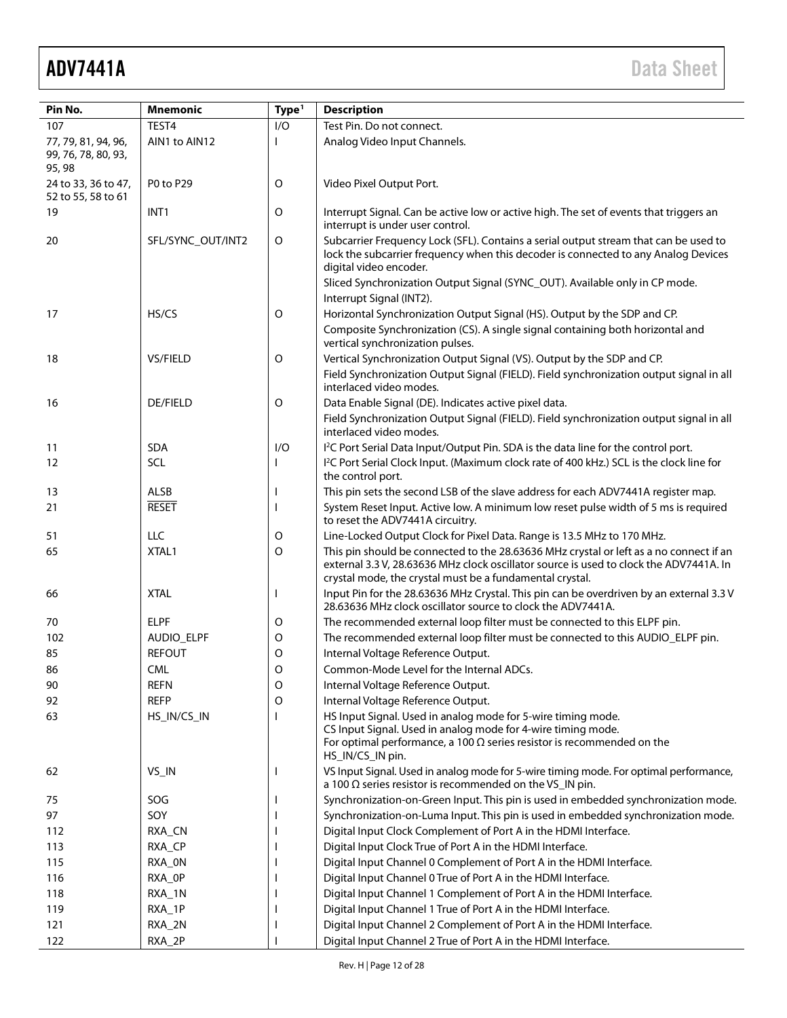## ADV7441A Data Sheet

| Pin No.                                              | <b>Mnemonic</b>   | Type <sup>1</sup>                                             | <b>Description</b>                                                                                                                                                                                                                           |  |  |  |  |  |  |  |
|------------------------------------------------------|-------------------|---------------------------------------------------------------|----------------------------------------------------------------------------------------------------------------------------------------------------------------------------------------------------------------------------------------------|--|--|--|--|--|--|--|
| 107                                                  | TEST <sub>4</sub> | I/O                                                           | Test Pin. Do not connect.                                                                                                                                                                                                                    |  |  |  |  |  |  |  |
| 77, 79, 81, 94, 96,<br>99, 76, 78, 80, 93,<br>95, 98 | AIN1 to AIN12     |                                                               | Analog Video Input Channels.                                                                                                                                                                                                                 |  |  |  |  |  |  |  |
| 24 to 33, 36 to 47,<br>52 to 55, 58 to 61            | P0 to P29         | O                                                             | Video Pixel Output Port.                                                                                                                                                                                                                     |  |  |  |  |  |  |  |
| 19                                                   | INT <sub>1</sub>  | O                                                             | Interrupt Signal. Can be active low or active high. The set of events that triggers an<br>interrupt is under user control.                                                                                                                   |  |  |  |  |  |  |  |
| 20                                                   | SFL/SYNC_OUT/INT2 | O                                                             | Subcarrier Frequency Lock (SFL). Contains a serial output stream that can be used to<br>lock the subcarrier frequency when this decoder is connected to any Analog Devices<br>digital video encoder.                                         |  |  |  |  |  |  |  |
|                                                      |                   |                                                               | Sliced Synchronization Output Signal (SYNC_OUT). Available only in CP mode.<br>Interrupt Signal (INT2).                                                                                                                                      |  |  |  |  |  |  |  |
| 17                                                   | HS/CS             | O                                                             | Horizontal Synchronization Output Signal (HS). Output by the SDP and CP.                                                                                                                                                                     |  |  |  |  |  |  |  |
|                                                      |                   |                                                               | Composite Synchronization (CS). A single signal containing both horizontal and<br>vertical synchronization pulses.                                                                                                                           |  |  |  |  |  |  |  |
| 18                                                   | VS/FIELD          | O                                                             | Vertical Synchronization Output Signal (VS). Output by the SDP and CP.                                                                                                                                                                       |  |  |  |  |  |  |  |
|                                                      |                   |                                                               | Field Synchronization Output Signal (FIELD). Field synchronization output signal in all<br>interlaced video modes.                                                                                                                           |  |  |  |  |  |  |  |
| 16                                                   | <b>DE/FIELD</b>   | O                                                             | Data Enable Signal (DE). Indicates active pixel data.<br>Field Synchronization Output Signal (FIELD). Field synchronization output signal in all<br>interlaced video modes.                                                                  |  |  |  |  |  |  |  |
| 11                                                   | <b>SDA</b>        | 1/O                                                           | I <sup>2</sup> C Port Serial Data Input/Output Pin. SDA is the data line for the control port.                                                                                                                                               |  |  |  |  |  |  |  |
| 12                                                   | <b>SCL</b>        | I.                                                            | I <sup>2</sup> C Port Serial Clock Input. (Maximum clock rate of 400 kHz.) SCL is the clock line for<br>the control port.                                                                                                                    |  |  |  |  |  |  |  |
| 13                                                   | ALSB              |                                                               | This pin sets the second LSB of the slave address for each ADV7441A register map.                                                                                                                                                            |  |  |  |  |  |  |  |
| 21                                                   | <b>RESET</b>      |                                                               | System Reset Input. Active low. A minimum low reset pulse width of 5 ms is required<br>to reset the ADV7441A circuitry.                                                                                                                      |  |  |  |  |  |  |  |
| 51                                                   | <b>LLC</b>        | O                                                             | Line-Locked Output Clock for Pixel Data. Range is 13.5 MHz to 170 MHz.                                                                                                                                                                       |  |  |  |  |  |  |  |
| 65                                                   | XTAL1             | O                                                             | This pin should be connected to the 28.63636 MHz crystal or left as a no connect if an<br>external 3.3 V, 28.63636 MHz clock oscillator source is used to clock the ADV7441A. In<br>crystal mode, the crystal must be a fundamental crystal. |  |  |  |  |  |  |  |
| 66                                                   | <b>XTAL</b>       |                                                               | Input Pin for the 28.63636 MHz Crystal. This pin can be overdriven by an external 3.3 V<br>28.63636 MHz clock oscillator source to clock the ADV7441A.                                                                                       |  |  |  |  |  |  |  |
| 70                                                   | <b>ELPF</b>       | O                                                             | The recommended external loop filter must be connected to this ELPF pin.                                                                                                                                                                     |  |  |  |  |  |  |  |
| 102                                                  | AUDIO_ELPF        | O                                                             | The recommended external loop filter must be connected to this AUDIO_ELPF pin.                                                                                                                                                               |  |  |  |  |  |  |  |
| 85                                                   | <b>REFOUT</b>     | $\circ$                                                       | Internal Voltage Reference Output.                                                                                                                                                                                                           |  |  |  |  |  |  |  |
| 86                                                   | <b>CML</b>        | O                                                             | Common-Mode Level for the Internal ADCs.                                                                                                                                                                                                     |  |  |  |  |  |  |  |
| 90                                                   | <b>REFN</b>       | O                                                             | Internal Voltage Reference Output.                                                                                                                                                                                                           |  |  |  |  |  |  |  |
| 92                                                   | <b>REFP</b>       | 0                                                             | Internal Voltage Reference Output.                                                                                                                                                                                                           |  |  |  |  |  |  |  |
| 63                                                   | HS_IN/CS_IN       |                                                               | HS Input Signal. Used in analog mode for 5-wire timing mode.<br>CS Input Signal. Used in analog mode for 4-wire timing mode.<br>For optimal performance, a 100 $\Omega$ series resistor is recommended on the<br>HS_IN/CS_IN pin.            |  |  |  |  |  |  |  |
| 62                                                   | VS_IN             |                                                               | VS Input Signal. Used in analog mode for 5-wire timing mode. For optimal performance,<br>a 100 $\Omega$ series resistor is recommended on the VS_IN pin.                                                                                     |  |  |  |  |  |  |  |
| 75                                                   | SOG               |                                                               | Synchronization-on-Green Input. This pin is used in embedded synchronization mode.                                                                                                                                                           |  |  |  |  |  |  |  |
| 97                                                   | SOY               |                                                               | Synchronization-on-Luma Input. This pin is used in embedded synchronization mode.                                                                                                                                                            |  |  |  |  |  |  |  |
| 112                                                  | RXA_CN            |                                                               | Digital Input Clock Complement of Port A in the HDMI Interface.                                                                                                                                                                              |  |  |  |  |  |  |  |
| 113                                                  | RXA_CP            |                                                               | Digital Input Clock True of Port A in the HDMI Interface.                                                                                                                                                                                    |  |  |  |  |  |  |  |
| 115                                                  | RXA_ON            |                                                               | Digital Input Channel 0 Complement of Port A in the HDMI Interface.                                                                                                                                                                          |  |  |  |  |  |  |  |
| 116                                                  | RXA_OP            |                                                               | Digital Input Channel 0 True of Port A in the HDMI Interface.                                                                                                                                                                                |  |  |  |  |  |  |  |
| 118                                                  | RXA_1N            |                                                               | Digital Input Channel 1 Complement of Port A in the HDMI Interface.                                                                                                                                                                          |  |  |  |  |  |  |  |
| 119                                                  | RXA_1P            | Digital Input Channel 1 True of Port A in the HDMI Interface. |                                                                                                                                                                                                                                              |  |  |  |  |  |  |  |
| 121                                                  | RXA_2N            |                                                               | Digital Input Channel 2 Complement of Port A in the HDMI Interface.                                                                                                                                                                          |  |  |  |  |  |  |  |
| 122                                                  | RXA_2P            |                                                               | Digital Input Channel 2 True of Port A in the HDMI Interface.                                                                                                                                                                                |  |  |  |  |  |  |  |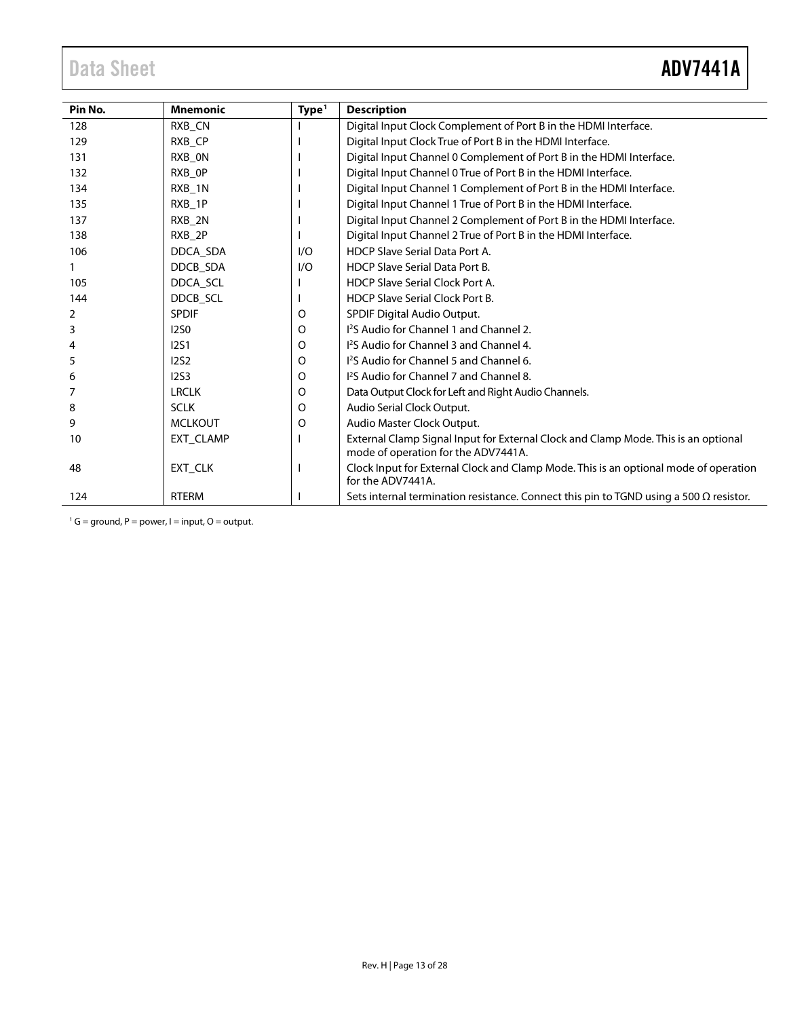<span id="page-12-0"></span>

| Pin No. | <b>Mnemonic</b>    | Type <sup>1</sup> | <b>Description</b>                                                                                                        |
|---------|--------------------|-------------------|---------------------------------------------------------------------------------------------------------------------------|
| 128     | RXB CN             |                   | Digital Input Clock Complement of Port B in the HDMI Interface.                                                           |
| 129     | RXB_CP             |                   | Digital Input Clock True of Port B in the HDMI Interface.                                                                 |
| 131     | RXB_ON             |                   | Digital Input Channel 0 Complement of Port B in the HDMI Interface.                                                       |
| 132     | RXB OP             |                   | Digital Input Channel 0 True of Port B in the HDMI Interface.                                                             |
| 134     | RXB 1N             |                   | Digital Input Channel 1 Complement of Port B in the HDMI Interface.                                                       |
| 135     | RXB_1P             |                   | Digital Input Channel 1 True of Port B in the HDMI Interface.                                                             |
| 137     | RXB_2N             |                   | Digital Input Channel 2 Complement of Port B in the HDMI Interface.                                                       |
| 138     | RXB <sub>2</sub> P |                   | Digital Input Channel 2 True of Port B in the HDMI Interface.                                                             |
| 106     | DDCA SDA           | 1/O               | HDCP Slave Serial Data Port A.                                                                                            |
|         | DDCB SDA           | 1/O               | <b>HDCP Slave Serial Data Port B.</b>                                                                                     |
| 105     | DDCA_SCL           |                   | <b>HDCP Slave Serial Clock Port A.</b>                                                                                    |
| 144     | DDCB SCL           |                   | <b>HDCP Slave Serial Clock Port B.</b>                                                                                    |
| 2       | <b>SPDIF</b>       | O                 | <b>SPDIF Digital Audio Output.</b>                                                                                        |
| 3       | <b>I2SO</b>        | O                 | <sup>12</sup> S Audio for Channel 1 and Channel 2.                                                                        |
|         | <b>12S1</b>        | 0                 | 1 <sup>2</sup> S Audio for Channel 3 and Channel 4.                                                                       |
| 5       | 12S2               | 0                 | 1 <sup>2</sup> S Audio for Channel 5 and Channel 6.                                                                       |
| 6       | 1253               | 0                 | 1 <sup>2</sup> S Audio for Channel 7 and Channel 8.                                                                       |
|         | <b>LRCLK</b>       | 0                 | Data Output Clock for Left and Right Audio Channels.                                                                      |
| 8       | <b>SCLK</b>        | O                 | Audio Serial Clock Output.                                                                                                |
| 9       | <b>MCLKOUT</b>     | O                 | Audio Master Clock Output.                                                                                                |
| 10      | EXT CLAMP          |                   | External Clamp Signal Input for External Clock and Clamp Mode. This is an optional<br>mode of operation for the ADV7441A. |
| 48      | EXT CLK            |                   | Clock Input for External Clock and Clamp Mode. This is an optional mode of operation<br>for the ADV7441A.                 |
| 124     | <b>RTERM</b>       |                   | Sets internal termination resistance. Connect this pin to TGND using a 500 $\Omega$ resistor.                             |

 $1^1$  G = ground, P = power, I = input, O = output.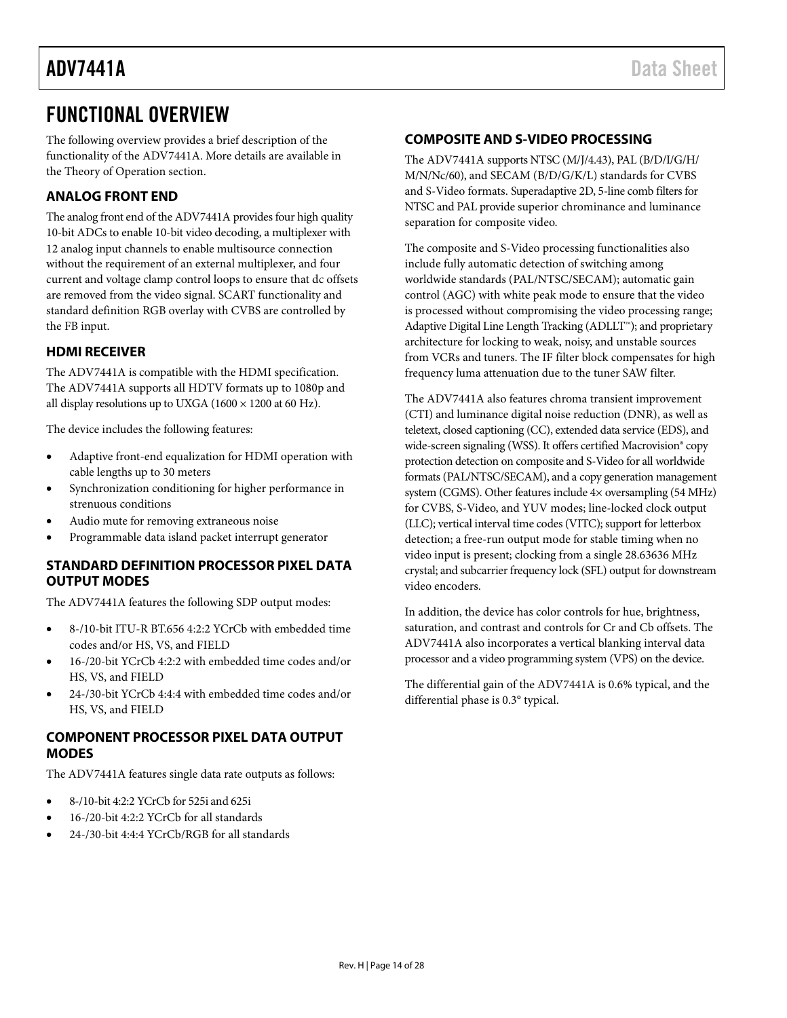### <span id="page-13-0"></span>FUNCTIONAL OVERVIEW

The following overview provides a brief description of the functionality of the ADV7441A. More details are available in the [Theory of Operation](#page-15-0) section.

#### <span id="page-13-1"></span>**ANALOG FRONT END**

The analog front end of the ADV7441A provides four high quality 10-bit ADCs to enable 10-bit video decoding, a multiplexer with 12 analog input channels to enable multisource connection without the requirement of an external multiplexer, and four current and voltage clamp control loops to ensure that dc offsets are removed from the video signal. SCART functionality and standard definition RGB overlay with CVBS are controlled by the FB input.

#### <span id="page-13-2"></span>**HDMI RECEIVER**

The ADV7441A is compatible with the HDMI specification. The ADV7441A supports all HDTV formats up to 1080p and all display resolutions up to UXGA (1600  $\times$  1200 at 60 Hz).

The device includes the following features:

- Adaptive front-end equalization for HDMI operation with cable lengths up to 30 meters
- Synchronization conditioning for higher performance in strenuous conditions
- Audio mute for removing extraneous noise
- Programmable data island packet interrupt generator

#### <span id="page-13-3"></span>**STANDARD DEFINITION PROCESSOR PIXEL DATA OUTPUT MODES**

The ADV7441A features the following SDP output modes:

- 8-/10-bit ITU-R BT.656 4:2:2 YCrCb with embedded time codes and/or HS, VS, and FIELD
- 16-/20-bit YCrCb 4:2:2 with embedded time codes and/or HS, VS, and FIELD
- 24-/30-bit YCrCb 4:4:4 with embedded time codes and/or HS, VS, and FIELD

#### <span id="page-13-4"></span>**COMPONENT PROCESSOR PIXEL DATA OUTPUT MODES**

The ADV7441A features single data rate outputs as follows:

- 8-/10-bit 4:2:2 YCrCb for 525i and 625i
- 16-/20-bit 4:2:2 YCrCb for all standards
- 24-/30-bit 4:4:4 YCrCb/RGB for all standards

#### <span id="page-13-5"></span>**COMPOSITE AND S-VIDEO PROCESSING**

The ADV7441A supports NTSC (M/J/4.43), PAL (B/D/I/G/H/ M/N/Nc/60), and SECAM (B/D/G/K/L) standards for CVBS and S-Video formats. Superadaptive 2D, 5-line comb filters for NTSC and PAL provide superior chrominance and luminance separation for composite video.

The composite and S-Video processing functionalities also include fully automatic detection of switching among worldwide standards (PAL/NTSC/SECAM); automatic gain control (AGC) with white peak mode to ensure that the video is processed without compromising the video processing range; Adaptive Digital Line Length Tracking (ADLLT™); and proprietary architecture for locking to weak, noisy, and unstable sources from VCRs and tuners. The IF filter block compensates for high frequency luma attenuation due to the tuner SAW filter.

The ADV7441A also features chroma transient improvement (CTI) and luminance digital noise reduction (DNR), as well as teletext, closed captioning (CC), extended data service (EDS), and wide-screen signaling (WSS). It offers certified Macrovision® copy protection detection on composite and S-Video for all worldwide formats (PAL/NTSC/SECAM), and a copy generation management system (CGMS). Other features include 4× oversampling (54 MHz) for CVBS, S-Video, and YUV modes; line-locked clock output (LLC); vertical interval time codes (VITC); support for letterbox detection; a free-run output mode for stable timing when no video input is present; clocking from a single 28.63636 MHz crystal; and subcarrier frequency lock (SFL) output for downstream video encoders.

In addition, the device has color controls for hue, brightness, saturation, and contrast and controls for Cr and Cb offsets. The ADV7441A also incorporates a vertical blanking interval data processor and a video programming system (VPS) on the device.

The differential gain of the ADV7441A is 0.6% typical, and the differential phase is 0.3° typical.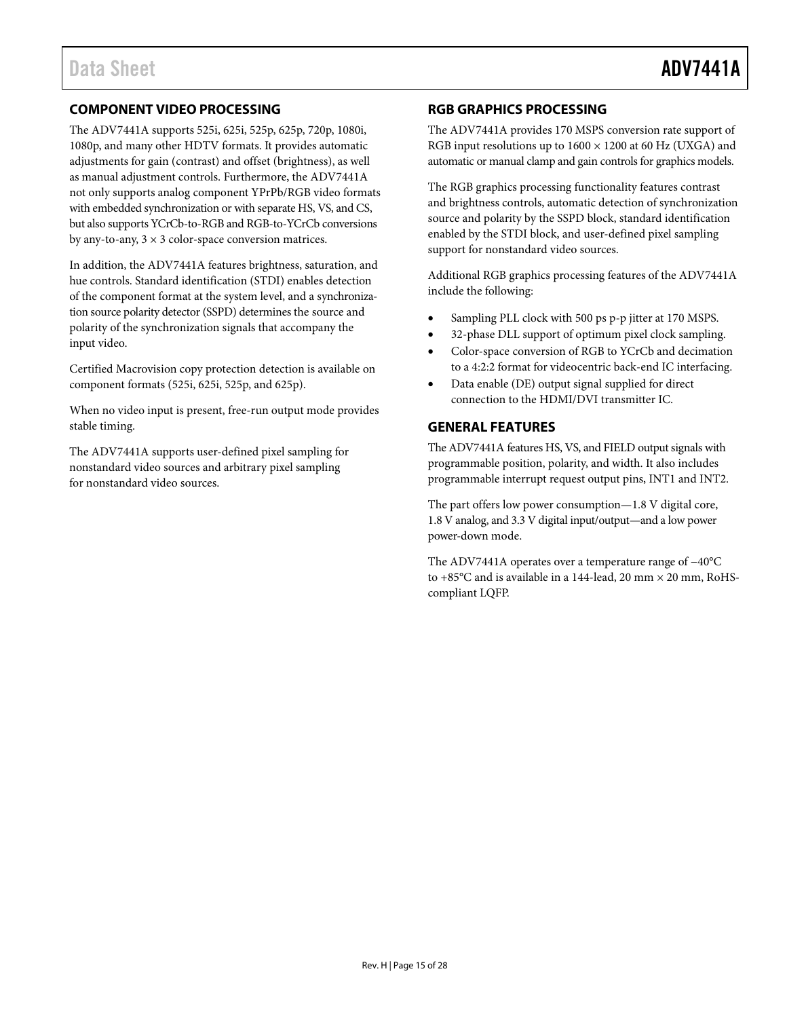#### <span id="page-14-0"></span>**COMPONENT VIDEO PROCESSING**

The ADV7441A supports 525i, 625i, 525p, 625p, 720p, 1080i, 1080p, and many other HDTV formats. It provides automatic adjustments for gain (contrast) and offset (brightness), as well as manual adjustment controls. Furthermore, the ADV7441A not only supports analog component YPrPb/RGB video formats with embedded synchronization or with separate HS, VS, and CS, but also supports YCrCb-to-RGB and RGB-to-YCrCb conversions by any-to-any,  $3 \times 3$  color-space conversion matrices.

In addition, the ADV7441A features brightness, saturation, and hue controls. Standard identification (STDI) enables detection of the component format at the system level, and a synchronization source polarity detector (SSPD) determines the source and polarity of the synchronization signals that accompany the input video.

Certified Macrovision copy protection detection is available on component formats (525i, 625i, 525p, and 625p).

When no video input is present, free-run output mode provides stable timing.

The ADV7441A supports user-defined pixel sampling for nonstandard video sources and arbitrary pixel sampling for nonstandard video sources.

#### <span id="page-14-1"></span>**RGB GRAPHICS PROCESSING**

The ADV7441A provides 170 MSPS conversion rate support of RGB input resolutions up to  $1600 \times 1200$  at 60 Hz (UXGA) and automatic or manual clamp and gain controls for graphics models.

The RGB graphics processing functionality features contrast and brightness controls, automatic detection of synchronization source and polarity by the SSPD block, standard identification enabled by the STDI block, and user-defined pixel sampling support for nonstandard video sources.

Additional RGB graphics processing features of the ADV7441A include the following:

- Sampling PLL clock with 500 ps p-p jitter at 170 MSPS.
- 32-phase DLL support of optimum pixel clock sampling.
- Color-space conversion of RGB to YCrCb and decimation to a 4:2:2 format for videocentric back-end IC interfacing.
- Data enable (DE) output signal supplied for direct connection to the HDMI/DVI transmitter IC.

#### <span id="page-14-2"></span>**GENERAL FEATURES**

The ADV7441A features HS, VS, and FIELD output signals with programmable position, polarity, and width. It also includes programmable interrupt request output pins, INT1 and INT2.

The part offers low power consumption—1.8 V digital core, 1.8 V analog, and 3.3 V digital input/output—and a low power power-down mode.

The ADV7441A operates over a temperature range of −40°C to +85 $^{\circ}$ C and is available in a 144-lead, 20 mm  $\times$  20 mm, RoHScompliant LQFP.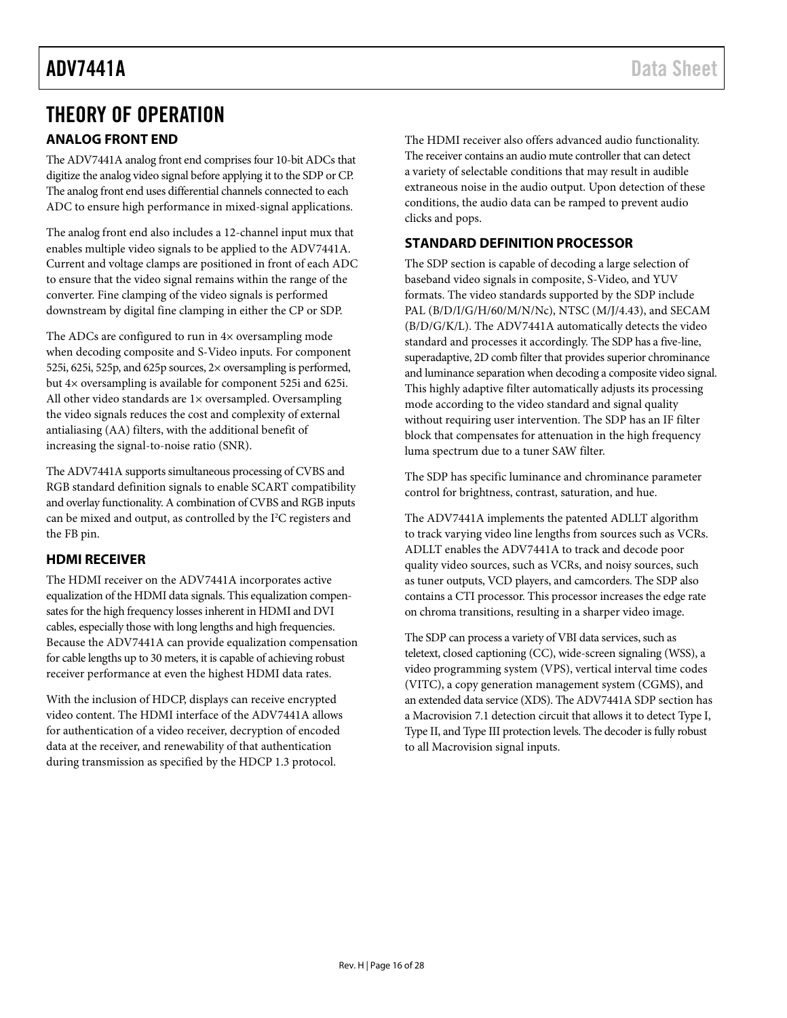### <span id="page-15-0"></span>THEORY OF OPERATION

### <span id="page-15-1"></span>**ANALOG FRONT END**

The ADV7441A analog front end comprises four 10-bit ADCs that digitize the analog video signal before applying it to the SDP or CP. The analog front end uses differential channels connected to each ADC to ensure high performance in mixed-signal applications.

The analog front end also includes a 12-channel input mux that enables multiple video signals to be applied to the ADV7441A. Current and voltage clamps are positioned in front of each ADC to ensure that the video signal remains within the range of the converter. Fine clamping of the video signals is performed downstream by digital fine clamping in either the CP or SDP.

The ADCs are configured to run in 4× oversampling mode when decoding composite and S-Video inputs. For component 525i, 625i, 525p, and 625p sources, 2× oversampling is performed, but 4× oversampling is available for component 525i and 625i. All other video standards are 1× oversampled. Oversampling the video signals reduces the cost and complexity of external antialiasing (AA) filters, with the additional benefit of increasing the signal-to-noise ratio (SNR).

The ADV7441A supports simultaneous processing of CVBS and RGB standard definition signals to enable SCART compatibility and overlay functionality. A combination of CVBS and RGB inputs can be mixed and output, as controlled by the I 2 C registers and the FB pin.

### <span id="page-15-2"></span>**HDMI RECEIVER**

The HDMI receiver on the ADV7441A incorporates active equalization of the HDMI data signals. This equalization compensates for the high frequency losses inherent in HDMI and DVI cables, especially those with long lengths and high frequencies. Because the ADV7441A can provide equalization compensation for cable lengths up to 30 meters, it is capable of achieving robust receiver performance at even the highest HDMI data rates.

With the inclusion of HDCP, displays can receive encrypted video content. The HDMI interface of the ADV7441A allows for authentication of a video receiver, decryption of encoded data at the receiver, and renewability of that authentication during transmission as specified by the HDCP 1.3 protocol.

The HDMI receiver also offers advanced audio functionality. The receiver contains an audio mute controller that can detect a variety of selectable conditions that may result in audible extraneous noise in the audio output. Upon detection of these conditions, the audio data can be ramped to prevent audio clicks and pops.

### <span id="page-15-3"></span>**STANDARD DEFINITION PROCESSOR**

The SDP section is capable of decoding a large selection of baseband video signals in composite, S-Video, and YUV formats. The video standards supported by the SDP include PAL (B/D/I/G/H/60/M/N/Nc), NTSC (M/J/4.43), and SECAM (B/D/G/K/L). The ADV7441A automatically detects the video standard and processes it accordingly. The SDP has a five-line, superadaptive, 2D comb filter that provides superior chrominance and luminance separation when decoding a composite video signal. This highly adaptive filter automatically adjusts its processing mode according to the video standard and signal quality without requiring user intervention. The SDP has an IF filter block that compensates for attenuation in the high frequency luma spectrum due to a tuner SAW filter.

The SDP has specific luminance and chrominance parameter control for brightness, contrast, saturation, and hue.

The ADV7441A implements the patented ADLLT algorithm to track varying video line lengths from sources such as VCRs. ADLLT enables the ADV7441A to track and decode poor quality video sources, such as VCRs, and noisy sources, such as tuner outputs, VCD players, and camcorders. The SDP also contains a CTI processor. This processor increases the edge rate on chroma transitions, resulting in a sharper video image.

The SDP can process a variety of VBI data services, such as teletext, closed captioning (CC), wide-screen signaling (WSS), a video programming system (VPS), vertical interval time codes (VITC), a copy generation management system (CGMS), and an extended data service (XDS). The ADV7441A SDP section has a Macrovision 7.1 detection circuit that allows it to detect Type I, Type II, and Type III protection levels. The decoder is fully robust to all Macrovision signal inputs.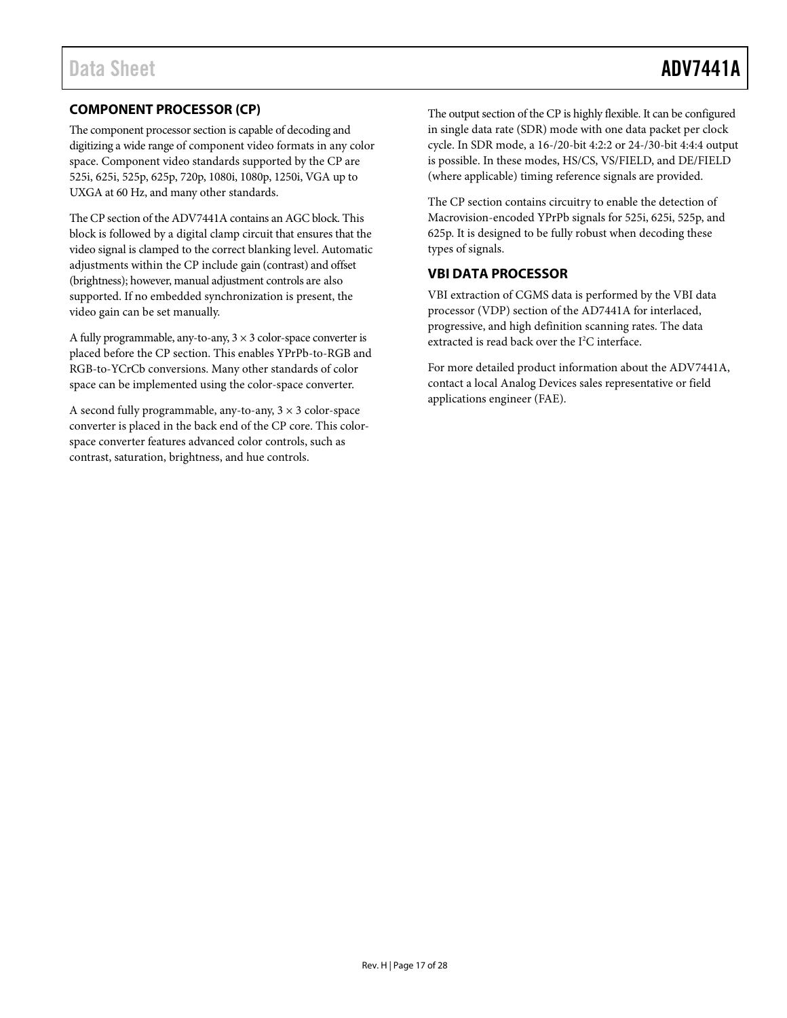### <span id="page-16-0"></span>**COMPONENT PROCESSOR (CP)**

The component processor section is capable of decoding and digitizing a wide range of component video formats in any color space. Component video standards supported by the CP are 525i, 625i, 525p, 625p, 720p, 1080i, 1080p, 1250i, VGA up to UXGA at 60 Hz, and many other standards.

The CP section of the ADV7441A contains an AGC block. This block is followed by a digital clamp circuit that ensures that the video signal is clamped to the correct blanking level. Automatic adjustments within the CP include gain (contrast) and offset (brightness); however, manual adjustment controls are also supported. If no embedded synchronization is present, the video gain can be set manually.

A fully programmable, any-to-any,  $3 \times 3$  color-space converter is placed before the CP section. This enables YPrPb-to-RGB and RGB-to-YCrCb conversions. Many other standards of color space can be implemented using the color-space converter.

A second fully programmable, any-to-any,  $3 \times 3$  color-space converter is placed in the back end of the CP core. This colorspace converter features advanced color controls, such as contrast, saturation, brightness, and hue controls.

The output section of the CP is highly flexible. It can be configured in single data rate (SDR) mode with one data packet per clock cycle. In SDR mode, a 16-/20-bit 4:2:2 or 24-/30-bit 4:4:4 output is possible. In these modes, HS/CS, VS/FIELD, and DE/FIELD (where applicable) timing reference signals are provided.

The CP section contains circuitry to enable the detection of Macrovision-encoded YPrPb signals for 525i, 625i, 525p, and 625p. It is designed to be fully robust when decoding these types of signals.

#### <span id="page-16-1"></span>**VBI DATA PROCESSOR**

VBI extraction of CGMS data is performed by the VBI data processor (VDP) section of the AD7441A for interlaced, progressive, and high definition scanning rates. The data extracted is read back over the  $I^2C$  interface.

For more detailed product information about the ADV7441A, contact a local Analog Devices sales representative or field applications engineer (FAE).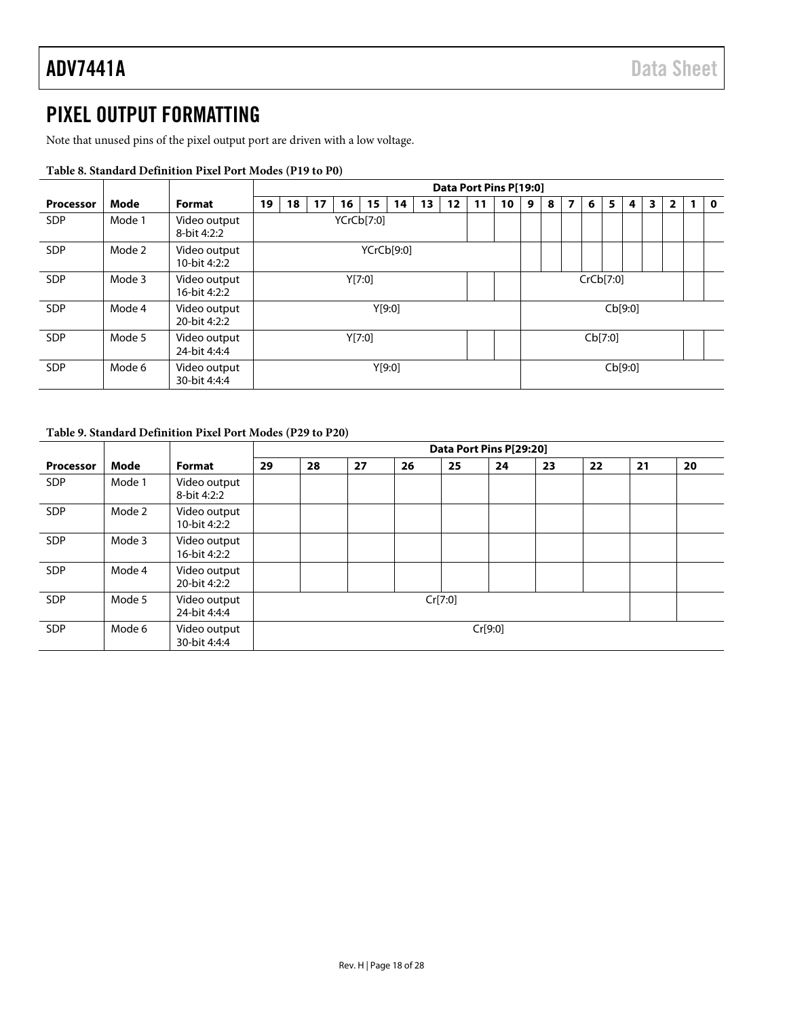### <span id="page-17-0"></span>PIXEL OUTPUT FORMATTING

Note that unused pins of the pixel output port are driven with a low voltage.

|                  |        |                              |    | Data Port Pins P[19:0] |    |    |            |        |    |    |    |    |   |   |   |           |         |         |                         |   |  |             |
|------------------|--------|------------------------------|----|------------------------|----|----|------------|--------|----|----|----|----|---|---|---|-----------|---------|---------|-------------------------|---|--|-------------|
| <b>Processor</b> | Mode   | Format                       | 19 | 18                     | 17 | 16 | 15         | 14     | 13 | 12 | 11 | 10 | 9 | 8 | 7 | 6         | 5       | 4       | $\overline{\mathbf{3}}$ | 2 |  | $\mathbf 0$ |
| <b>SDP</b>       | Mode 1 | Video output<br>8-bit 4:2:2  |    |                        |    |    | YCrCb[7:0] |        |    |    |    |    |   |   |   |           |         |         |                         |   |  |             |
| <b>SDP</b>       | Mode 2 | Video output<br>10-bit 4:2:2 |    |                        |    |    | YCrCb[9:0] |        |    |    |    |    |   |   |   |           |         |         |                         |   |  |             |
| <b>SDP</b>       | Mode 3 | Video output<br>16-bit 4:2:2 |    |                        |    |    | Y[7:0]     |        |    |    |    |    |   |   |   | CrCb[7:0] |         |         |                         |   |  |             |
| <b>SDP</b>       | Mode 4 | Video output<br>20-bit 4:2:2 |    |                        |    |    |            | Y[9:0] |    |    |    |    |   |   |   |           |         | Cb[9:0] |                         |   |  |             |
| <b>SDP</b>       | Mode 5 | Video output<br>24-bit 4:4:4 |    |                        |    |    | Y[7:0]     |        |    |    |    |    |   |   |   |           | Cb[7:0] |         |                         |   |  |             |
| <b>SDP</b>       | Mode 6 | Video output<br>30-bit 4:4:4 |    |                        |    |    |            | Y[9:0] |    |    |    |    |   |   |   |           |         | Cb[9:0] |                         |   |  |             |

#### **Table 8. Standard Definition Pixel Port Modes (P19 to P0)**

#### **Table 9. Standard Definition Pixel Port Modes (P29 to P20)**

|                  |        |                              |    |    |    |    |         | Data Port Pins P[29:20] |    |    |    |    |
|------------------|--------|------------------------------|----|----|----|----|---------|-------------------------|----|----|----|----|
| <b>Processor</b> | Mode   | Format                       | 29 | 28 | 27 | 26 | 25      | 24                      | 23 | 22 | 21 | 20 |
| <b>SDP</b>       | Mode 1 | Video output<br>8-bit 4:2:2  |    |    |    |    |         |                         |    |    |    |    |
| <b>SDP</b>       | Mode 2 | Video output<br>10-bit 4:2:2 |    |    |    |    |         |                         |    |    |    |    |
| <b>SDP</b>       | Mode 3 | Video output<br>16-bit 4:2:2 |    |    |    |    |         |                         |    |    |    |    |
| <b>SDP</b>       | Mode 4 | Video output<br>20-bit 4:2:2 |    |    |    |    |         |                         |    |    |    |    |
| <b>SDP</b>       | Mode 5 | Video output<br>24-bit 4:4:4 |    |    |    |    | Cr[7:0] |                         |    |    |    |    |
| <b>SDP</b>       | Mode 6 | Video output<br>30-bit 4:4:4 |    |    |    |    |         | Cr[9:0]                 |    |    |    |    |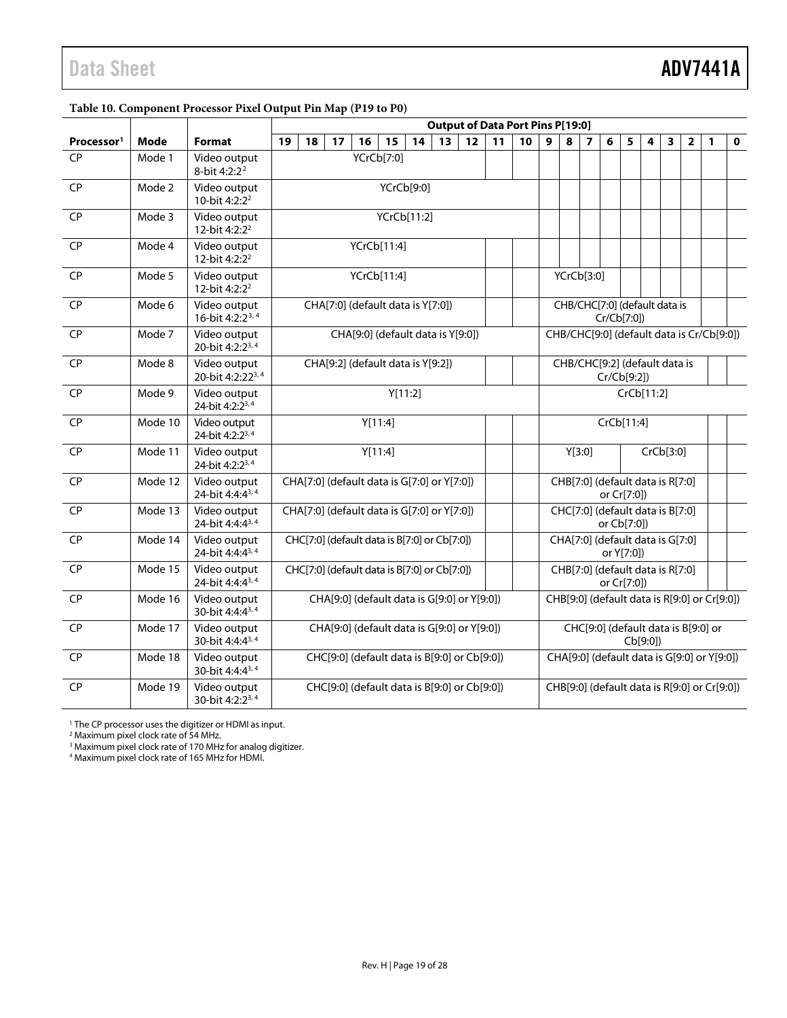| Table 10. Component Processor Pixel Output Pin Map (P19 to P0) |  |  |
|----------------------------------------------------------------|--|--|
|                                                                |  |  |

<span id="page-18-1"></span><span id="page-18-0"></span>

|                        |         |                                              | <b>Output of Data Port Pins P[19:0]</b>                                                         |                                              |    |                                             |             |                                                 |                                              |    |    |            |            |    |                     |                                              |   |                                              |   |   |   |                         |                                           |             |  |  |
|------------------------|---------|----------------------------------------------|-------------------------------------------------------------------------------------------------|----------------------------------------------|----|---------------------------------------------|-------------|-------------------------------------------------|----------------------------------------------|----|----|------------|------------|----|---------------------|----------------------------------------------|---|----------------------------------------------|---|---|---|-------------------------|-------------------------------------------|-------------|--|--|
| Processor <sup>1</sup> | Mode    | Format                                       | 19                                                                                              | 18                                           | 17 | 16                                          | 15          |                                                 | 14                                           | 13 | 12 |            | 11         | 10 | 9                   | 8                                            | 7 | 6                                            | 5 | 4 | 3 | $\overline{\mathbf{2}}$ | 1                                         | $\mathbf 0$ |  |  |
| <b>CP</b>              | Mode 1  | Video output<br>8-bit 4:2:2 <sup>2</sup>     |                                                                                                 |                                              |    | YCrCb[7:0]                                  |             |                                                 |                                              |    |    |            |            |    |                     |                                              |   |                                              |   |   |   |                         |                                           |             |  |  |
| <b>CP</b>              | Mode 2  | Video output<br>10-bit 4:2:2 <sup>2</sup>    |                                                                                                 |                                              |    |                                             | YCrCb[9:0]  |                                                 |                                              |    |    |            |            |    |                     |                                              |   |                                              |   |   |   |                         |                                           |             |  |  |
| <b>CP</b>              | Mode 3  | Video output<br>12-bit 4:2:2 <sup>2</sup>    |                                                                                                 |                                              |    |                                             | YCrCb[11:2] |                                                 |                                              |    |    |            |            |    |                     |                                              |   |                                              |   |   |   |                         |                                           |             |  |  |
| CP                     | Mode 4  | Video output<br>12-bit 4:2:2 <sup>2</sup>    |                                                                                                 |                                              |    | YCrCb[11:4]                                 |             |                                                 |                                              |    |    |            |            |    |                     |                                              |   |                                              |   |   |   |                         |                                           |             |  |  |
| <b>CP</b>              | Mode 5  | Video output<br>12-bit 4:2:2 <sup>2</sup>    |                                                                                                 | YCrCb[11:4]                                  |    |                                             |             |                                                 | YCrCb[3:0]                                   |    |    |            |            |    |                     |                                              |   |                                              |   |   |   |                         |                                           |             |  |  |
| <b>CP</b>              | Mode 6  | Video output<br>16-bit 4:2:2 <sup>3, 4</sup> |                                                                                                 |                                              |    | CHA[7:0] (default data is Y[7:0])           |             |                                                 |                                              |    |    |            |            |    |                     | CHB/CHC[7:0] (default data is                |   | Cr/Cb[7:0])                                  |   |   |   |                         |                                           |             |  |  |
| <b>CP</b>              | Mode 7  | Video output<br>20-bit 4:2:2 <sup>3,4</sup>  |                                                                                                 |                                              |    | CHA[9:0] (default data is Y[9:0])           |             |                                                 |                                              |    |    |            |            |    |                     |                                              |   |                                              |   |   |   |                         | CHB/CHC[9:0] (default data is Cr/Cb[9:0]) |             |  |  |
| <b>CP</b>              | Mode 8  | Video output<br>20-bit 4:2:22 <sup>3,4</sup> |                                                                                                 | CHA[9:2] (default data is Y[9:2])            |    |                                             |             |                                                 | CHB/CHC[9:2] (default data is<br>Cr/Cb[9:2]) |    |    |            |            |    |                     |                                              |   |                                              |   |   |   |                         |                                           |             |  |  |
| <b>CP</b>              | Mode 9  | Video output<br>24-bit 4:2:2 <sup>3,4</sup>  |                                                                                                 | Y[11:2]                                      |    |                                             |             |                                                 |                                              |    |    |            | CrCb[11:2] |    |                     |                                              |   |                                              |   |   |   |                         |                                           |             |  |  |
| <b>CP</b>              | Mode 10 | Video output<br>24-bit 4:2:2 <sup>3,4</sup>  |                                                                                                 |                                              |    | Y[11:4]                                     |             |                                                 |                                              |    |    |            |            |    |                     |                                              |   | CrCb[11:4]                                   |   |   |   |                         |                                           |             |  |  |
| <b>CP</b>              | Mode 11 | Video output<br>24-bit 4:2:23,4              |                                                                                                 |                                              |    | Y[11:4]                                     |             |                                                 |                                              |    |    |            |            |    | CrCb[3:0]<br>Y[3:0] |                                              |   |                                              |   |   |   |                         |                                           |             |  |  |
| <b>CP</b>              | Mode 12 | Video output<br>24-bit 4:4:4 <sup>3,4</sup>  |                                                                                                 |                                              |    | CHA[7:0] (default data is G[7:0] or Y[7:0]) |             |                                                 |                                              |    |    |            |            |    |                     | CHB[7:0] (default data is R[7:0]             |   | or Cr[7:0])                                  |   |   |   |                         |                                           |             |  |  |
| <b>CP</b>              | Mode 13 | Video output<br>24-bit 4:4:4 <sup>3,4</sup>  |                                                                                                 |                                              |    | CHA[7:0] (default data is G[7:0] or Y[7:0]) |             |                                                 |                                              |    |    |            |            |    |                     | CHC[7:0] (default data is B[7:0]             |   | or Cb[7:0])                                  |   |   |   |                         |                                           |             |  |  |
| <b>CP</b>              | Mode 14 | Video output<br>24-bit 4:4:4 <sup>3,4</sup>  | CHC[7:0] (default data is B[7:0] or Cb[7:0])<br>CHA[7:0] (default data is G[7:0]                |                                              |    |                                             |             |                                                 |                                              |    |    | or Y[7:0]) |            |    |                     |                                              |   |                                              |   |   |   |                         |                                           |             |  |  |
| <b>CP</b>              | Mode 15 | Video output<br>24-bit 4:4:4 <sup>3,4</sup>  | CHC[7:0] (default data is B[7:0] or Cb[7:0])<br>CHB[7:0] (default data is R[7:0]<br>or Cr[7:0]) |                                              |    |                                             |             |                                                 |                                              |    |    |            |            |    |                     |                                              |   |                                              |   |   |   |                         |                                           |             |  |  |
| <b>CP</b>              | Mode 16 | Video output<br>30-bit 4:4:43,4              |                                                                                                 | CHA[9:0] (default data is G[9:0] or Y[9:0])  |    |                                             |             |                                                 |                                              |    |    |            |            |    |                     | CHB[9:0] (default data is R[9:0] or Cr[9:0]) |   |                                              |   |   |   |                         |                                           |             |  |  |
| <b>CP</b>              | Mode 17 | Video output<br>30-bit 4:4:43,4              |                                                                                                 | CHA[9:0] (default data is G[9:0] or Y[9:0])  |    |                                             |             | CHC[9:0] (default data is B[9:0] or<br>Cb[9:0]) |                                              |    |    |            |            |    |                     |                                              |   |                                              |   |   |   |                         |                                           |             |  |  |
| <b>CP</b>              | Mode 18 | Video output<br>30-bit 4:4:4 <sup>3,4</sup>  |                                                                                                 | CHC[9:0] (default data is B[9:0] or Cb[9:0]) |    |                                             |             |                                                 | CHA[9:0] (default data is G[9:0] or Y[9:0])  |    |    |            |            |    |                     |                                              |   |                                              |   |   |   |                         |                                           |             |  |  |
| <b>CP</b>              | Mode 19 | Video output<br>30-bit 4:2:2 <sup>3,4</sup>  |                                                                                                 | CHC[9:0] (default data is B[9:0] or Cb[9:0]) |    |                                             |             |                                                 |                                              |    |    |            |            |    |                     |                                              |   | CHB[9:0] (default data is R[9:0] or Cr[9:0]) |   |   |   |                         |                                           |             |  |  |

<sup>1</sup> The CP processor uses the digitizer or HDMI as input.

<sup>2</sup> Maximum pixel clock rate of 54 MHz.

<sup>3</sup> Maximum pixel clock rate of 170 MHz for analog digitizer.

<sup>4</sup> Maximum pixel clock rate of 165 MHz for HDMI.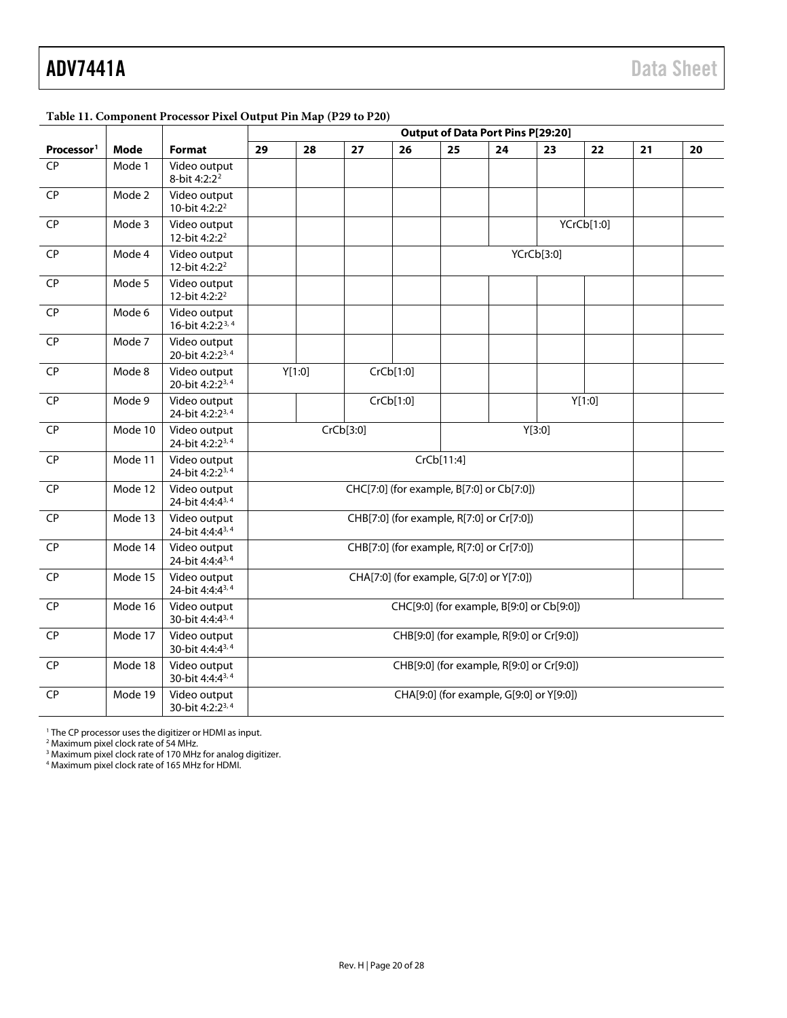## ADV7441A Data Sheet

<span id="page-19-1"></span><span id="page-19-0"></span>

|                        |             |                                              | Twore The Component Freecessor Flater Curput Fin $m\psi$ (F2) to 120<br><b>Output of Data Port Pins P[29:20]</b> |                                           |           |           |            |                                           |            |            |    |    |  |
|------------------------|-------------|----------------------------------------------|------------------------------------------------------------------------------------------------------------------|-------------------------------------------|-----------|-----------|------------|-------------------------------------------|------------|------------|----|----|--|
| Processor <sup>1</sup> | <b>Mode</b> | <b>Format</b>                                | 29                                                                                                               | 28                                        | 27        | 26        | 25         | 24                                        | 23         | 22         | 21 | 20 |  |
| <b>CP</b>              | Mode 1      | Video output<br>8-bit 4:2:2 <sup>2</sup>     |                                                                                                                  |                                           |           |           |            |                                           |            |            |    |    |  |
| <b>CP</b>              | Mode 2      | Video output<br>10-bit 4:2:2 <sup>2</sup>    |                                                                                                                  |                                           |           |           |            |                                           |            |            |    |    |  |
| CP                     | Mode 3      | Video output<br>12-bit 4:2:2 <sup>2</sup>    |                                                                                                                  |                                           |           |           |            |                                           |            | YCrCb[1:0] |    |    |  |
| CP                     | Mode 4      | Video output<br>12-bit 4:2:2 <sup>2</sup>    |                                                                                                                  |                                           |           |           |            |                                           | YCrCb[3:0] |            |    |    |  |
| CP                     | Mode 5      | Video output<br>12-bit 4:2:2 <sup>2</sup>    |                                                                                                                  |                                           |           |           |            |                                           |            |            |    |    |  |
| CP                     | Mode 6      | Video output<br>16-bit 4:2:2 <sup>3, 4</sup> |                                                                                                                  |                                           |           |           |            |                                           |            |            |    |    |  |
| <b>CP</b>              | Mode 7      | Video output<br>20-bit 4:2:2 <sup>3,4</sup>  |                                                                                                                  |                                           |           |           |            |                                           |            |            |    |    |  |
| <b>CP</b>              | Mode 8      | Video output<br>20-bit 4:2:2 <sup>3,4</sup>  |                                                                                                                  | Y[1:0]                                    |           | CrCb[1:0] |            |                                           |            |            |    |    |  |
| <b>CP</b>              | Mode 9      | Video output<br>24-bit 4:2:2 <sup>3,4</sup>  |                                                                                                                  |                                           |           | CrCb[1:0] |            |                                           |            | Y[1:0]     |    |    |  |
| <b>CP</b>              | Mode 10     | Video output<br>24-bit 4:2:2 <sup>3,4</sup>  |                                                                                                                  |                                           | CrCb[3:0] |           |            |                                           | Y[3:0]     |            |    |    |  |
| <b>CP</b>              | Mode 11     | Video output<br>24-bit 4:2:2 <sup>3,4</sup>  |                                                                                                                  |                                           |           |           | CrCb[11:4] |                                           |            |            |    |    |  |
| CP                     | Mode 12     | Video output<br>24-bit 4:4:43,4              |                                                                                                                  |                                           |           |           |            | CHC[7:0] (for example, B[7:0] or Cb[7:0]) |            |            |    |    |  |
| CP                     | Mode 13     | Video output<br>24-bit 4:4:4 <sup>3,4</sup>  |                                                                                                                  |                                           |           |           |            | CHB[7:0] (for example, R[7:0] or Cr[7:0]) |            |            |    |    |  |
| CP                     | Mode 14     | Video output<br>24-bit 4:4:4 <sup>3,4</sup>  |                                                                                                                  |                                           |           |           |            | CHB[7:0] (for example, R[7:0] or Cr[7:0]) |            |            |    |    |  |
| <b>CP</b>              | Mode 15     | Video output<br>24-bit 4:4:4 <sup>3,4</sup>  |                                                                                                                  |                                           |           |           |            | CHA[7:0] (for example, G[7:0] or Y[7:0])  |            |            |    |    |  |
| CP                     | Mode 16     | Video output<br>30-bit 4:4:4 <sup>3,4</sup>  |                                                                                                                  |                                           |           |           |            | CHC[9:0] (for example, B[9:0] or Cb[9:0]) |            |            |    |    |  |
| CP                     | Mode 17     | Video output<br>30-bit 4:4:4 <sup>3,4</sup>  |                                                                                                                  |                                           |           |           |            | CHB[9:0] (for example, R[9:0] or Cr[9:0]) |            |            |    |    |  |
| <b>CP</b>              | Mode 18     | Video output<br>30-bit 4:4:4 <sup>3,4</sup>  |                                                                                                                  | CHB[9:0] (for example, R[9:0] or Cr[9:0]) |           |           |            |                                           |            |            |    |    |  |
| <b>CP</b>              | Mode 19     | Video output<br>30-bit 4:2:2 <sup>3,4</sup>  |                                                                                                                  |                                           |           |           |            | CHA[9:0] (for example, G[9:0] or Y[9:0])  |            |            |    |    |  |

#### **Table 11. Component Processor Pixel Output Pin Map (P29 to P20)**

<sup>1</sup> The CP processor uses the digitizer or HDMI as input.

<sup>2</sup> Maximum pixel clock rate of 54 MHz.

<sup>3</sup> Maximum pixel clock rate of 170 MHz for analog digitizer.

<sup>4</sup> Maximum pixel clock rate of 165 MHz for HDMI.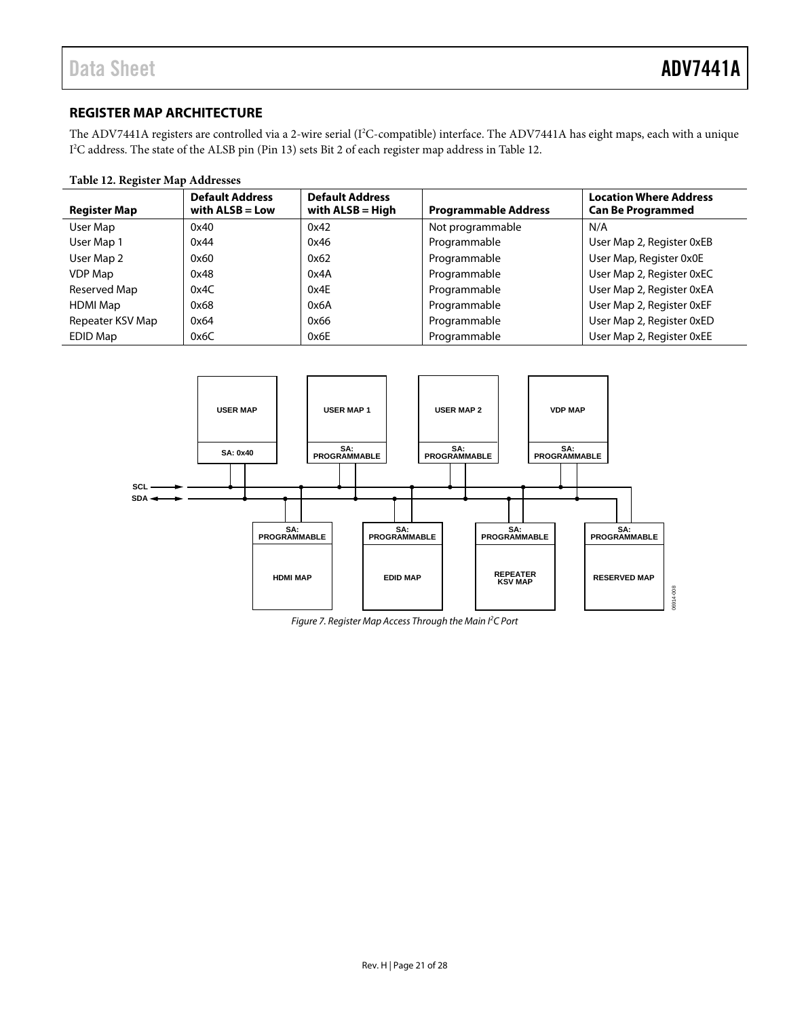#### <span id="page-20-0"></span>**REGISTER MAP ARCHITECTURE**

The ADV7441A registers are controlled via a 2-wire serial (I<sup>2</sup>C-compatible) interface. The ADV7441A has eight maps, each with a unique I 2 C address. The state of the ALSB pin (Pin 13) sets Bit 2 of each register map address i[n Table 12.](#page-20-1)

#### <span id="page-20-1"></span>**Table 12. Register Map Addresses**

| <b>Register Map</b> | <b>Default Address</b><br>with $ALSB = Low$ | <b>Default Address</b><br>with $ALSB = High$ | <b>Programmable Address</b> | <b>Location Where Address</b><br><b>Can Be Programmed</b> |
|---------------------|---------------------------------------------|----------------------------------------------|-----------------------------|-----------------------------------------------------------|
| User Map            | 0x40                                        | 0x42                                         | Not programmable            | N/A                                                       |
| User Map 1          | 0x44                                        | 0x46                                         | Programmable                | User Map 2, Register 0xEB                                 |
| User Map 2          | 0x60                                        | 0x62                                         | Programmable                | User Map, Register 0x0E                                   |
| VDP Map             | 0x48                                        | 0x4A                                         | Programmable                | User Map 2, Register 0xEC                                 |
| Reserved Map        | 0x4C                                        | 0x4E                                         | Programmable                | User Map 2, Register 0xEA                                 |
| <b>HDMI Map</b>     | 0x68                                        | 0x6A                                         | Programmable                | User Map 2, Register 0xEF                                 |
| Repeater KSV Map    | 0x64                                        | 0x66                                         | Programmable                | User Map 2, Register 0xED                                 |
| EDID Map            | 0x6C                                        | 0x6E                                         | Programmable                | User Map 2, Register 0xEE                                 |



*Figure 7. Register Map Access Through the Main I2 C Port*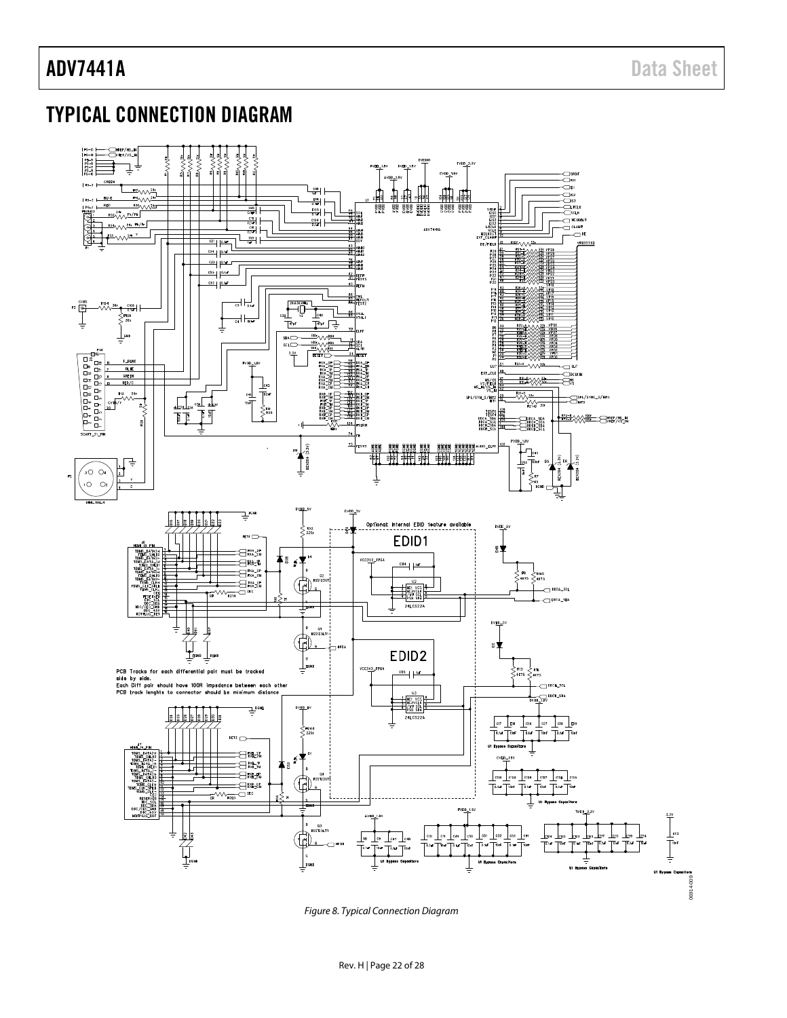### <span id="page-21-0"></span>TYPICAL CONNECTION DIAGRAM



*Figure 8. Typical Connection Diagram*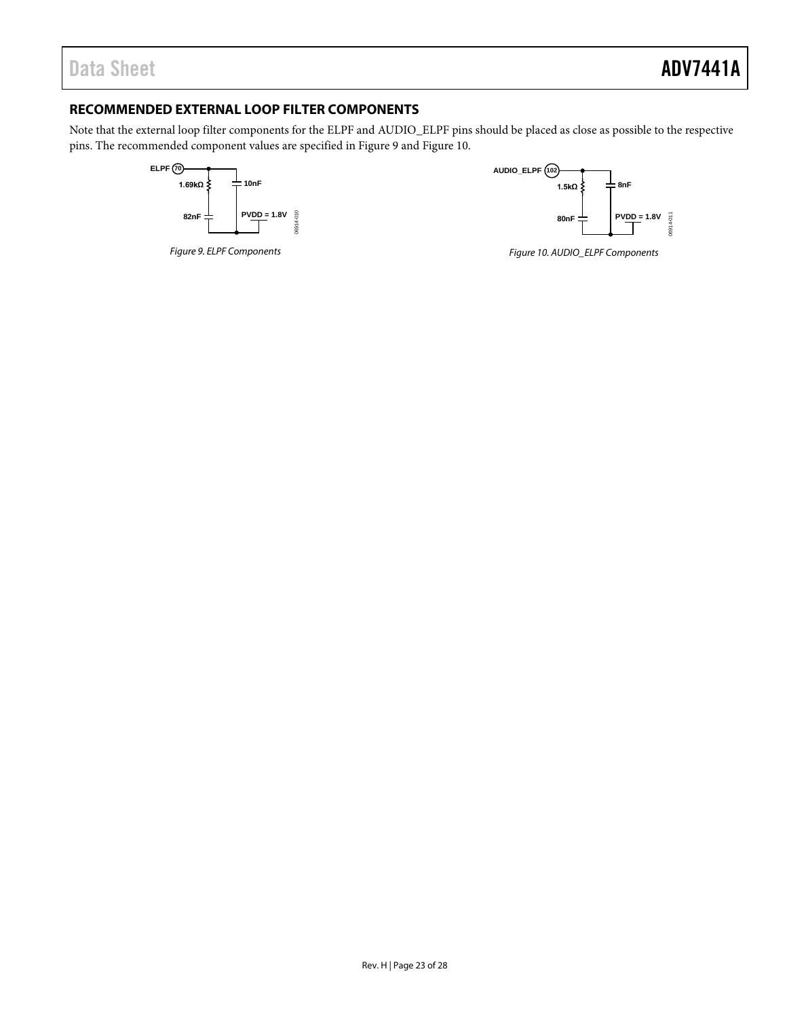#### <span id="page-22-0"></span>**RECOMMENDED EXTERNAL LOOP FILTER COMPONENTS**

Note that the external loop filter components for the ELPF and AUDIO\_ELPF pins should be placed as close as possible to the respective pins. The recommended component values are specified in Figure 9 and Figure 10.





*Figure 9. ELPF Components*

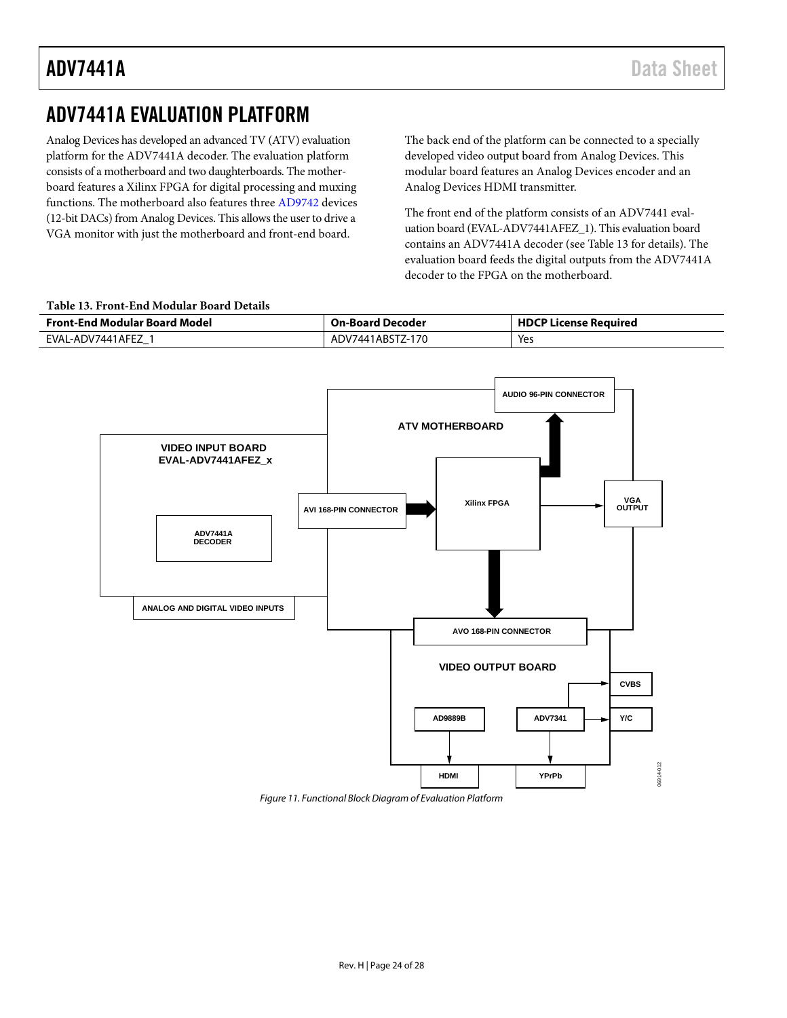### <span id="page-23-0"></span>ADV7441A EVALUATION PLATFORM

Analog Devices has developed an advanced TV (ATV) evaluation platform for the ADV7441A decoder. The evaluation platform consists of a motherboard and two daughterboards. The motherboard features a Xilinx FPGA for digital processing and muxing functions. The motherboard also features thre[e AD9742](http://www.analog.com/AD9742) devices (12-bit DACs) from Analog Devices. This allows the user to drive a VGA monitor with just the motherboard and front-end board.

The back end of the platform can be connected to a specially developed video output board from Analog Devices. This modular board features an Analog Devices encoder and an Analog Devices HDMI transmitter.

The front end of the platform consists of an ADV7441 evaluation board (EVAL-ADV7441AFEZ\_1). This evaluation board contains an ADV7441A decoder (se[e Table 13](#page-23-1) for details). The evaluation board feeds the digital outputs from the ADV7441A decoder to the FPGA on the motherboard.

#### <span id="page-23-1"></span>**Table 13. Front-End Modular Board Details**

| <b>Front-End Modular Board Model</b> | <b>On-Board Decoder</b> | <b>HDCP License Required</b> |  |  |  |  |  |
|--------------------------------------|-------------------------|------------------------------|--|--|--|--|--|
| EVAL-ADV7441AFEZ                     | ADV7441ABSTZ-170        | Yes                          |  |  |  |  |  |



*Figure 11. Functional Block Diagram of Evaluation Platform*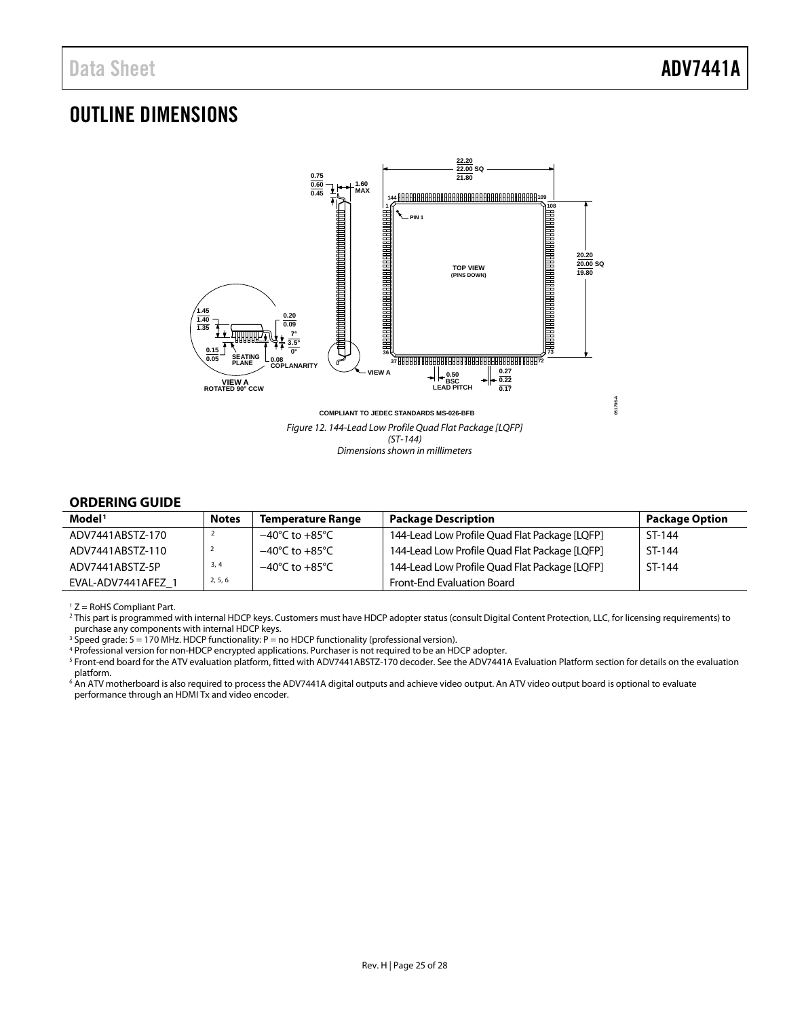### <span id="page-24-1"></span>OUTLINE DIMENSIONS



#### <span id="page-24-2"></span><span id="page-24-0"></span>**ORDERING GUIDE**

| Model <sup>1</sup> | <b>Notes</b> | <b>Temperature Range</b>           | <b>Package Description</b>                    | <b>Package Option</b> |
|--------------------|--------------|------------------------------------|-----------------------------------------------|-----------------------|
| ADV7441ABSTZ-170   |              | $-40^{\circ}$ C to $+85^{\circ}$ C | 144-Lead Low Profile Quad Flat Package [LQFP] | ST-144                |
| ADV7441ABSTZ-110   |              | $-40^{\circ}$ C to $+85^{\circ}$ C | 144-Lead Low Profile Quad Flat Package [LQFP] | ST-144                |
| ADV7441ABSTZ-5P    | 3, 4         | $-40^{\circ}$ C to $+85^{\circ}$ C | 144-Lead Low Profile Quad Flat Package [LQFP] | ST-144                |
| EVAL-ADV7441AFEZ 1 | 2, 5, 6      |                                    | <b>Front-End Evaluation Board</b>             |                       |

 $1 Z =$  RoHS Compliant Part.

<sup>2</sup> This part is programmed with internal HDCP keys. Customers must have HDCP adopter status (consult Digital Content Protection, LLC, for licensing requirements) to purchase any components with internal HDCP keys.

<sup>3</sup> Speed grade: 5 = 170 MHz. HDCP functionality: P = no HDCP functionality (professional version).

<sup>4</sup> Professional version for non-HDCP encrypted applications. Purchaser is not required to be an HDCP adopter.

<sup>5</sup> Front-end board for the ATV evaluation platform, fitted with ADV7441ABSTZ-170 decoder. See th[e ADV7441A Evaluation Platform](#page-23-0) section for details on the evaluation platform.

<sup>6</sup> An ATV motherboard is also required to process the ADV7441A digital outputs and achieve video output. An ATV video output board is optional to evaluate performance through an HDMI Tx and video encoder.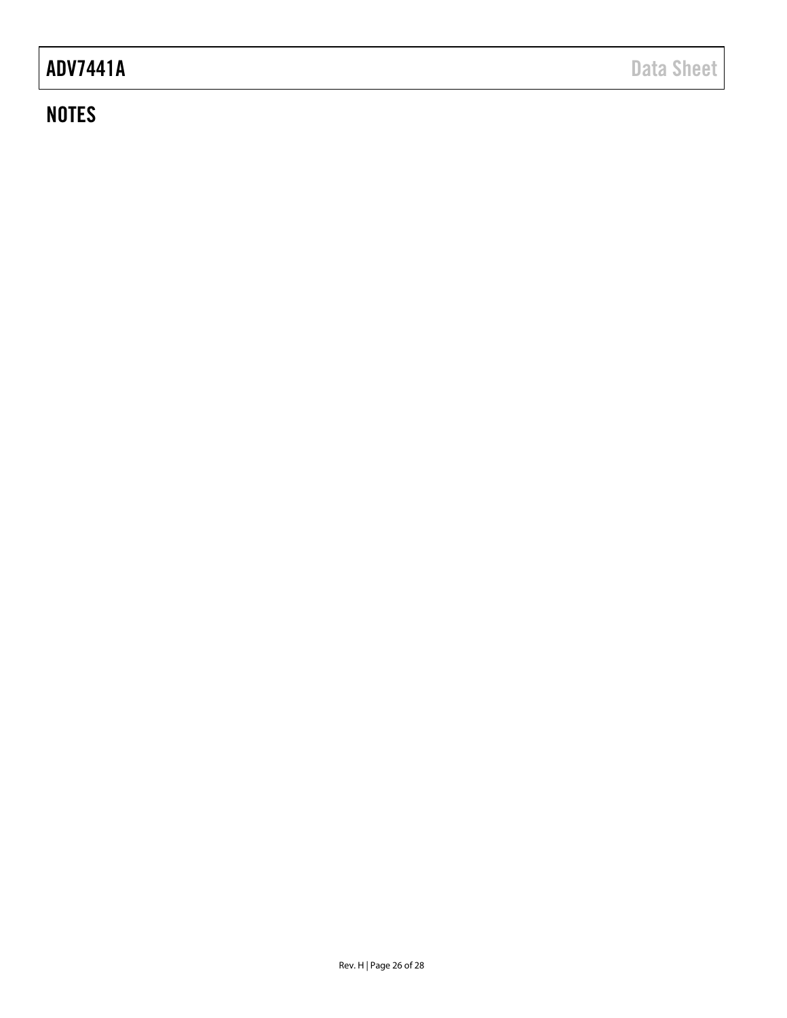## ADV7441A Data Sheet

### **NOTES**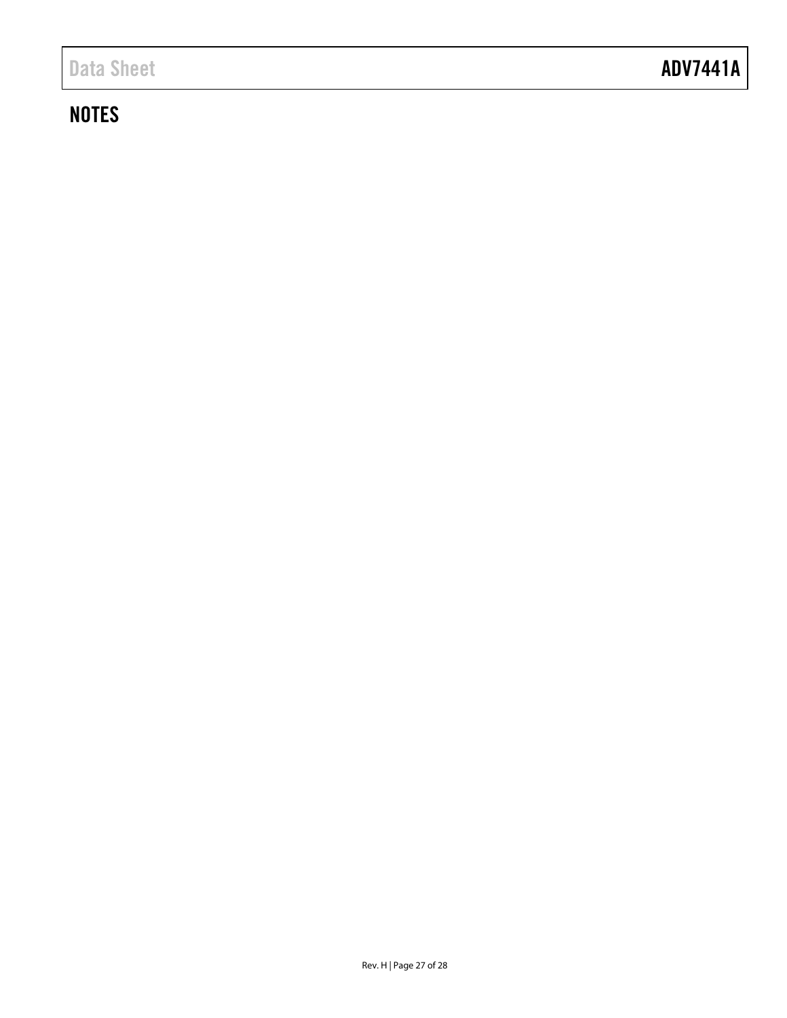## **NOTES**